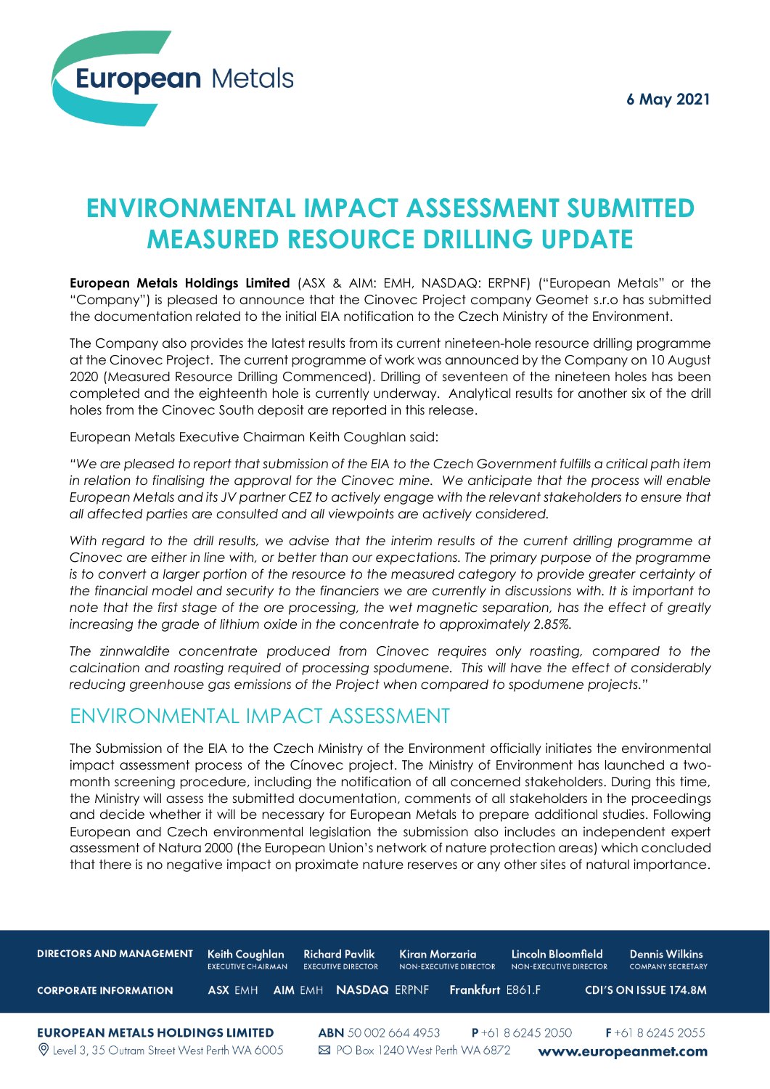

# **ENVIRONMENTAL IMPACT ASSESSMENT SUBMITTED MEASURED RESOURCE DRILLING UPDATE**

**European Metals Holdings Limited** (ASX & AIM: EMH, NASDAQ: ERPNF) ("European Metals" or the "Company") is pleased to announce that the Cinovec Project company Geomet s.r.o has submitted the documentation related to the initial EIA notification to the Czech Ministry of the Environment.

The Company also provides the latest results from its current nineteen-hole resource drilling programme at the Cinovec Project. The current programme of work was announced by the Company on 10 August 2020 (Measured Resource Drilling Commenced). Drilling of seventeen of the nineteen holes has been completed and the eighteenth hole is currently underway. Analytical results for another six of the drill holes from the Cinovec South deposit are reported in this release.

European Metals Executive Chairman Keith Coughlan said:

*"We are pleased to report that submission of the EIA to the Czech Government fulfills a critical path item in relation to finalising the approval for the Cinovec mine. We anticipate that the process will enable European Metals and its JV partner CEZ to actively engage with the relevant stakeholders to ensure that all affected parties are consulted and all viewpoints are actively considered.* 

*With regard to the drill results, we advise that the interim results of the current drilling programme at Cinovec are either in line with, or better than our expectations. The primary purpose of the programme*  is to convert a larger portion of the resource to the measured category to provide greater certainty of *the financial model and security to the financiers we are currently in discussions with. It is important to note that the first stage of the ore processing, the wet magnetic separation, has the effect of greatly increasing the grade of lithium oxide in the concentrate to approximately 2.85%.* 

*The zinnwaldite concentrate produced from Cinovec requires only roasting, compared to the calcination and roasting required of processing spodumene. This will have the effect of considerably reducing greenhouse gas emissions of the Project when compared to spodumene projects."*

# ENVIRONMENTAL IMPACT ASSESSMENT

The Submission of the EIA to the Czech Ministry of the Environment officially initiates the environmental impact assessment process of the Cínovec project. The Ministry of Environment has launched a twomonth screening procedure, including the notification of all concerned stakeholders. During this time, the Ministry will assess the submitted documentation, comments of all stakeholders in the proceedings and decide whether it will be necessary for European Metals to prepare additional studies. Following European and Czech environmental legislation the submission also includes an independent expert assessment of Natura 2000 (the European Union's network of nature protection areas) which concluded that there is no negative impact on proximate nature reserves or any other sites of natural importance.

| <b>DIRECTORS AND MANAGEMENT</b>                                                                  | Keith Coughlan<br><b>EXECUTIVE CHAIRMAN</b> | <b>Richard Pavlik</b><br><b>EXECUTIVE DIRECTOR</b> | Kiran Morzaria<br>NON-EXECUTIVE DIRECTOR | Lincoln Bloomfield<br>NON-EXECUTIVE DIRECTOR | <b>Dennis Wilkins</b><br><b>COMPANY SECRETARY</b> |
|--------------------------------------------------------------------------------------------------|---------------------------------------------|----------------------------------------------------|------------------------------------------|----------------------------------------------|---------------------------------------------------|
| <b>CORPORATE INFORMATION</b>                                                                     | <b>ASX FMH</b>                              | <b>AIM EMH NASDAQ ERPNF</b>                        | Frankfurt E861.F                         |                                              | <b>CDI'S ON ISSUE 174.8M</b>                      |
| <b>EUROPEAN METALS HOLDINGS LIMITED</b><br><b>Q</b> Level 3, 35 Outram Street West Perth WA 6005 |                                             | <b>ABN</b> 500026644953                            | ⊠ PO Box 1240 West Perth WA 6872         | $P + 61862452050$                            | $F+61862452055$<br>www.europeanmet.com            |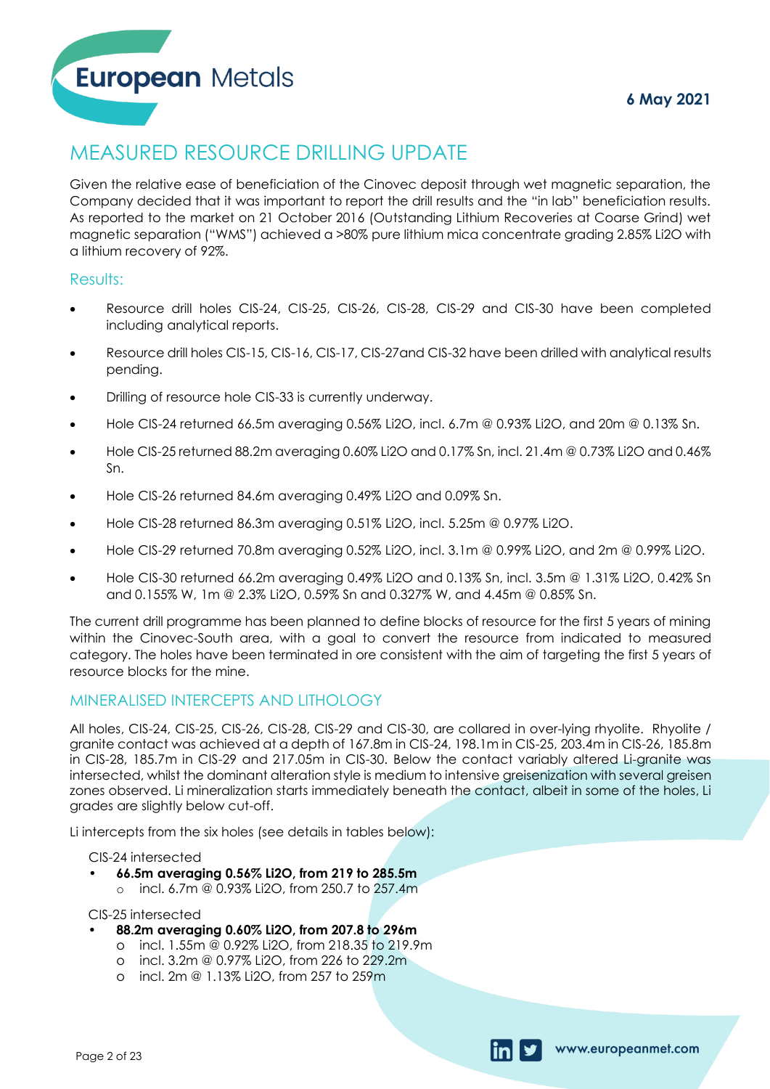# MEASURED RESOURCE DRILLING UPDATE

Given the relative ease of beneficiation of the Cinovec deposit through wet magnetic separation, the Company decided that it was important to report the drill results and the "in lab" beneficiation results. As reported to the market on 21 October 2016 (Outstanding Lithium Recoveries at Coarse Grind) wet magnetic separation ("WMS") achieved a >80% pure lithium mica concentrate grading 2.85% Li2O with a lithium recovery of 92%.

# Results:

- Resource drill holes CIS-24, CIS-25, CIS-26, CIS-28, CIS-29 and CIS-30 have been completed including analytical reports.
- Resource drill holes CIS-15, CIS-16, CIS-17, CIS-27and CIS-32 have been drilled with analytical results pending.
- Drilling of resource hole CIS-33 is currently underway.
- Hole CIS-24 returned 66.5m averaging 0.56% Li2O, incl. 6.7m @ 0.93% Li2O, and 20m @ 0.13% Sn.
- Hole CIS-25 returned 88.2m averaging 0.60% Li2O and 0.17% Sn, incl. 21.4m @ 0.73% Li2O and 0.46% Sn.
- Hole CIS-26 returned 84.6m averaging 0.49% Li2O and 0.09% Sn.
- Hole CIS-28 returned 86.3m averaging 0.51% Li2O, incl. 5.25m @ 0.97% Li2O.
- Hole CIS-29 returned 70.8m averaging 0.52% Li2O, incl. 3.1m @ 0.99% Li2O, and 2m @ 0.99% Li2O.
- Hole CIS-30 returned 66.2m averaging 0.49% Li2O and 0.13% Sn, incl. 3.5m @ 1.31% Li2O, 0.42% Sn and 0.155% W, 1m @ 2.3% Li2O, 0.59% Sn and 0.327% W, and 4.45m @ 0.85% Sn.

The current drill programme has been planned to define blocks of resource for the first 5 years of mining within the Cinovec-South area, with a goal to convert the resource from indicated to measured category. The holes have been terminated in ore consistent with the aim of targeting the first 5 years of resource blocks for the mine.

# MINERALISED INTERCEPTS AND LITHOLOGY

All holes, CIS-24, CIS-25, CIS-26, CIS-28, CIS-29 and CIS-30, are collared in over-lying rhyolite. Rhyolite / granite contact was achieved at a depth of 167.8m in CIS-24, 198.1m in CIS-25, 203.4m in CIS-26, 185.8m in CIS-28, 185.7m in CIS-29 and 217.05m in CIS-30. Below the contact variably altered Li-granite was intersected, whilst the dominant alteration style is medium to intensive greisenization with several greisen zones observed. Li mineralization starts immediately beneath the contact, albeit in some of the holes, Li grades are slightly below cut-off.

Li intercepts from the six holes (see details in tables below):

CIS-24 intersected

- **• 66.5m averaging 0.56% Li2O, from 219 to 285.5m**
	- o incl. 6.7m @ 0.93% Li2O, from 250.7 to 257.4m

### CIS-25 intersected

- **• 88.2m averaging 0.60% Li2O, from 207.8 to 296m** CIS-24 intersected<br>
• 66.5m averaging 0.56% Li2O, from 219 to 28<br>
• incl. 6.7m @ 0.93% Li2O, from 250.7 to 25<br>
CIS-25 intersected<br>
• 88.2m averaging 0.60% Li2O, from 207.8 to<br>
• incl. 1.55m @ 0.92% Li2O, from 218.35 to<br>
•
	- o incl. 1.55m @ 0.92% Li2O, from 218.35 to 219.9m
	- o incl. 3.2m @ 0.97% Li2O, from 226 to 229.2m
	-

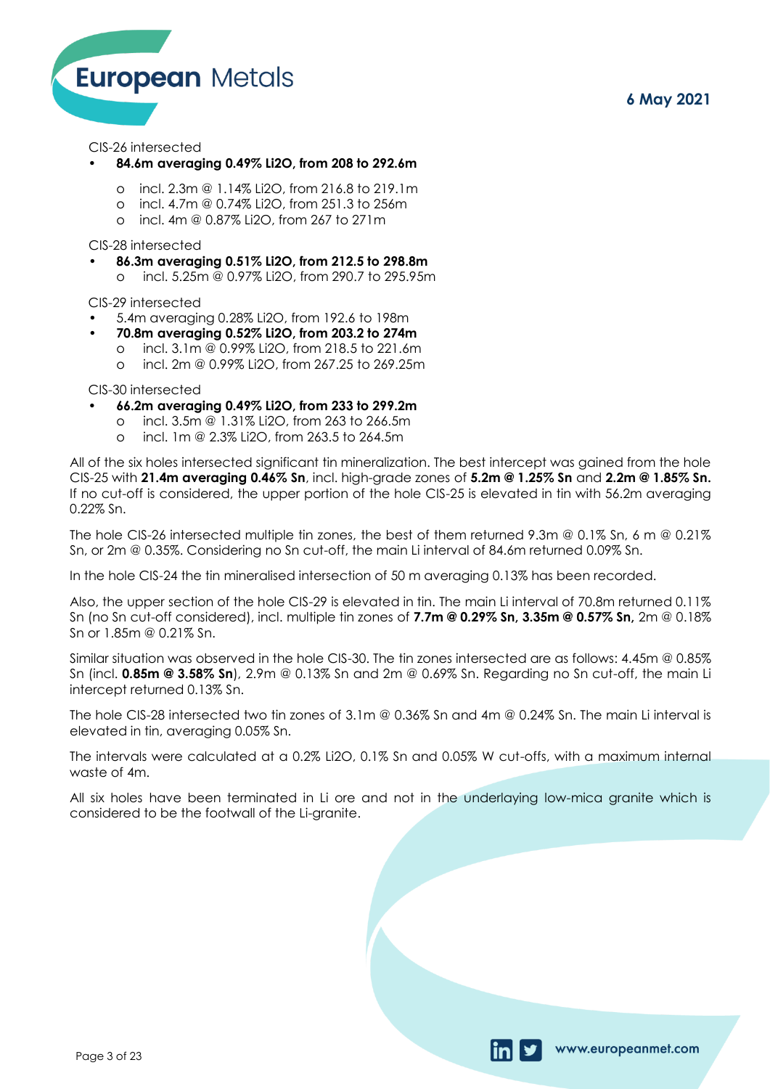www.europeanmet.com



### CIS-26 intersected

### **• 84.6m averaging 0.49% Li2O, from 208 to 292.6m**

- o incl. 2.3m @ 1.14% Li2O, from 216.8 to 219.1m
- o incl. 4.7m @ 0.74% Li2O, from 251.3 to 256m
- o incl. 4m @ 0.87% Li2O, from 267 to 271m

CIS-28 intersected

- **• 86.3m averaging 0.51% Li2O, from 212.5 to 298.8m** 
	- o incl. 5.25m @ 0.97% Li2O, from 290.7 to 295.95m

CIS-29 intersected

- 5.4m averaging 0.28% Li2O, from 192.6 to 198m
- **• 70.8m averaging 0.52% Li2O, from 203.2 to 274m** 
	- o incl. 3.1m @ 0.99% Li2O, from 218.5 to 221.6m
	- o incl. 2m @ 0.99% Li2O, from 267.25 to 269.25m

CIS-30 intersected

### **• 66.2m averaging 0.49% Li2O, from 233 to 299.2m**

- o incl. 3.5m @ 1.31% Li2O, from 263 to 266.5m
- o incl. 1m @ 2.3% Li2O, from 263.5 to 264.5m

All of the six holes intersected significant tin mineralization. The best intercept was gained from the hole CIS-25 with **21.4m averaging 0.46% Sn**, incl. high-grade zones of **5.2m @ 1.25% Sn** and **2.2m @ 1.85% Sn.**  If no cut-off is considered, the upper portion of the hole CIS-25 is elevated in tin with 56.2m averaging 0.22% Sn.

The hole CIS-26 intersected multiple tin zones, the best of them returned 9.3m @ 0.1% Sn, 6 m @ 0.21% Sn, or 2m @ 0.35%. Considering no Sn cut-off, the main Li interval of 84.6m returned 0.09% Sn.

In the hole CIS-24 the tin mineralised intersection of 50 m averaging 0.13% has been recorded.

Also, the upper section of the hole CIS-29 is elevated in tin. The main Li interval of 70.8m returned 0.11% Sn (no Sn cut-off considered), incl. multiple tin zones of **7.7m @ 0.29% Sn, 3.35m @ 0.57% Sn,** 2m @ 0.18% Sn or 1.85m @ 0.21% Sn.

Similar situation was observed in the hole CIS-30. The tin zones intersected are as follows: 4.45m @ 0.85% Sn (incl. **0.85m @ 3.58% Sn**), 2.9m @ 0.13% Sn and 2m @ 0.69% Sn. Regarding no Sn cut-off, the main Li intercept returned 0.13% Sn.

The hole CIS-28 intersected two tin zones of 3.1m @ 0.36% Sn and 4m @ 0.24% Sn. The main Li interval is elevated in tin, averaging 0.05% Sn.

The intervals were calculated at a 0.2% Li2O, 0.1% Sn and 0.05% W cut-offs, with a maximum internal waste of 4m.

All six holes have been terminated in Li ore and not in the underlaying low-mica granite which is considered to be the footwall of the Li-granite.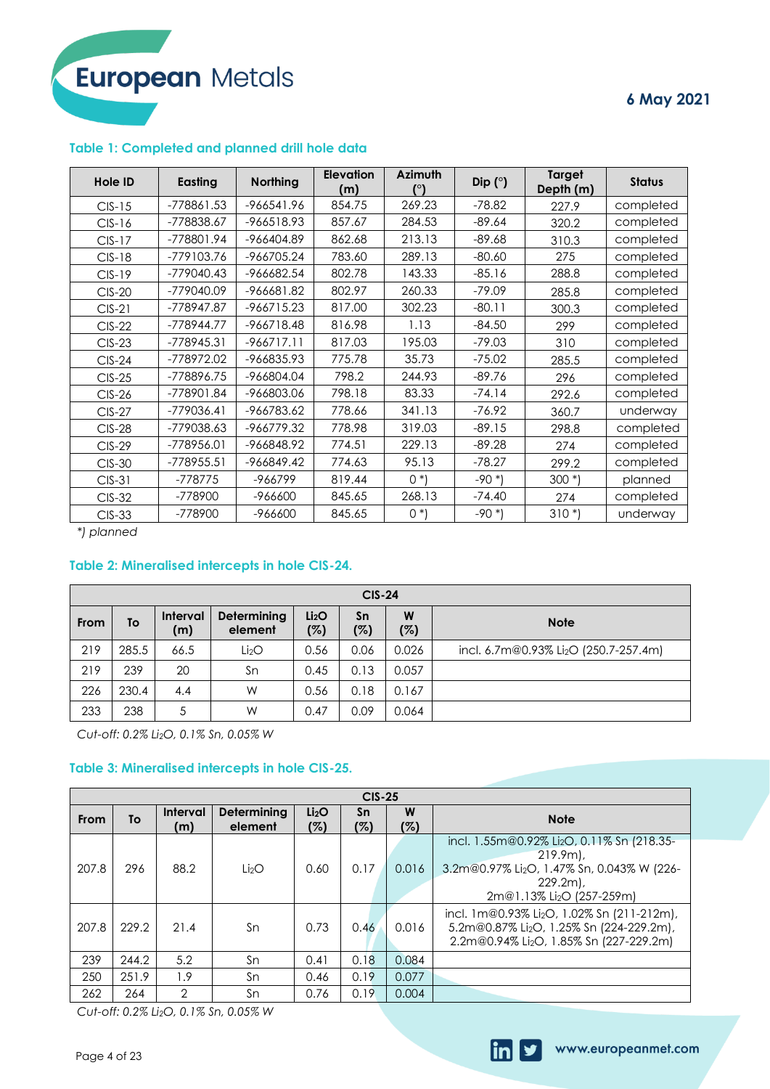# **6 May 2021**

### **Table 1: Completed and planned drill hole data**

| <b>Hole ID</b> | Easting    | <b>Northing</b> | <b>Elevation</b><br>(m) | <b>Azimuth</b> | Dip $(°)$ | <b>Target</b><br>Depth (m) | <b>Status</b> |
|----------------|------------|-----------------|-------------------------|----------------|-----------|----------------------------|---------------|
| $CIS-15$       | -778861.53 | $-966541.96$    | 854.75                  | 269.23         | $-78.82$  | 227.9                      | completed     |
| $CIS-16$       | -778838.67 | -966518.93      | 857.67                  | 284.53         | $-89.64$  | 320.2                      | completed     |
| $CIS-17$       | -778801.94 | -966404.89      | 862.68                  | 213.13         | $-89.68$  | 310.3                      | completed     |
| $CIS-18$       | -779103.76 | -966705.24      | 783.60                  | 289.13         | $-80.60$  | 275                        | completed     |
| $CIS-19$       | -779040.43 | -966682.54      | 802.78                  | 143.33         | $-85.16$  | 288.8                      | completed     |
| $CIS-20$       | -779040.09 | $-966681.82$    | 802.97                  | 260.33         | $-79.09$  | 285.8                      | completed     |
| $CIS-21$       | -778947.87 | $-966715.23$    | 817.00                  | 302.23         | $-80.11$  | 300.3                      | completed     |
| $CIS-22$       | -778944.77 | -966718.48      | 816.98                  | 1.13           | $-84.50$  | 299                        | completed     |
| $CIS-23$       | -778945.31 | $-966717.11$    | 817.03                  | 195.03         | $-79.03$  | 310                        | completed     |
| $CIS-24$       | -778972.02 | -966835.93      | 775.78                  | 35.73          | $-75.02$  | 285.5                      | completed     |
| $CIS-25$       | -778896.75 | -966804.04      | 798.2                   | 244.93         | $-89.76$  | 296                        | completed     |
| $CIS-26$       | -778901.84 | -966803.06      | 798.18                  | 83.33          | $-74.14$  | 292.6                      | completed     |
| $CIS-27$       | -779036.41 | -966783.62      | 778.66                  | 341.13         | -76.92    | 360.7                      | underway      |
| <b>CIS-28</b>  | -779038.63 | -966779.32      | 778.98                  | 319.03         | $-89.15$  | 298.8                      | completed     |
| $CIS-29$       | -778956.01 | -966848.92      | 774.51                  | 229.13         | $-89.28$  | 274                        | completed     |
| $CIS-30$       | -778955.51 | -966849.42      | 774.63                  | 95.13          | $-78.27$  | 299.2                      | completed     |
| $CIS-31$       | -778775    | -966799         | 819.44                  | $0^*$          | $-90*$    | $300*$                     | planned       |
| $CIS-32$       | -778900    | -966600         | 845.65                  | 268.13         | $-74.40$  | 274                        | completed     |
| $CIS-33$       | -778900    | -966600         | 845.65                  | $0^*$          | $-90*$    | $310*$                     | underway      |

*\*) planned*

# **Table 2: Mineralised intercepts in hole CIS-24.**

|      | $CIS-24$ |                        |                        |                          |           |          |                                                   |  |  |  |
|------|----------|------------------------|------------------------|--------------------------|-----------|----------|---------------------------------------------------|--|--|--|
| From | To       | <b>Interval</b><br>(m) | Determining<br>element | Li <sub>2</sub> O<br>(%) | Sn<br>(%) | W<br>(%) | <b>Note</b>                                       |  |  |  |
| 219  | 285.5    | 66.5                   | Li <sub>2</sub> O      | 0.56                     | 0.06      | 0.026    | incl. 6.7m@0.93% Li <sub>2</sub> O (250.7-257.4m) |  |  |  |
| 219  | 239      | 20                     | Sn                     | 0.45                     | 0.13      | 0.057    |                                                   |  |  |  |
| 226  | 230.4    | 4.4                    | W                      | 0.56                     | 0.18      | 0.167    |                                                   |  |  |  |
| 233  | 238      | 5                      | W                      | 0.47                     | 0.09      | 0.064    |                                                   |  |  |  |

*Cut-off: 0.2% Li2O, 0.1% Sn, 0.05% W*

## **Table 3: Mineralised intercepts in hole CIS-25.**

|       |                                                   |                        |                               |                          | $CIS-25$  |          |                                                                                                                                                                                       |
|-------|---------------------------------------------------|------------------------|-------------------------------|--------------------------|-----------|----------|---------------------------------------------------------------------------------------------------------------------------------------------------------------------------------------|
| From  | To                                                | <b>Interval</b><br>(m) | <b>Determining</b><br>element | Li <sub>2</sub> O<br>(%) | Sn<br>(%) | W<br>(%) | <b>Note</b>                                                                                                                                                                           |
| 207.8 | 296                                               | 88.2                   | Li <sub>2</sub> O             | 0.60                     | 0.17      | 0.016    | incl. 1.55m@0.92% Li <sub>2</sub> O, 0.11% Sn (218.35-<br>$219.9m$ .<br>3.2m@0.97% Li <sub>2</sub> O, 1.47% Sn, 0.043% W (226-<br>$229.2m$ .<br>2m@1.13% Li <sub>2</sub> O (257-259m) |
| 207.8 | 229.2                                             | 21.4                   | Sn                            | 0.73                     | 0.46      | 0.016    | incl. 1m@0.93% Li <sub>2</sub> O, 1.02% Sn (211-212m),<br>5.2m@0.87% Li <sub>2</sub> O, 1.25% Sn (224-229.2m),<br>2.2m@0.94% Li <sub>2</sub> O, 1.85% Sn (227-229.2m)                 |
| 239   | 244.2                                             | 5.2                    | Sn                            | 0.41                     | 0.18      | 0.084    |                                                                                                                                                                                       |
| 250   | 251.9                                             | 1.9                    | Sn                            | 0.46                     | 0.19      | 0.077    |                                                                                                                                                                                       |
| 262   | 264                                               | $\overline{2}$         | Sn                            | 0.76                     | 0.19      | 0.004    |                                                                                                                                                                                       |
|       | Cut-off: 0.2% Li <sub>2</sub> O, 0.1% Sn, 0.05% W |                        |                               |                          |           |          |                                                                                                                                                                                       |

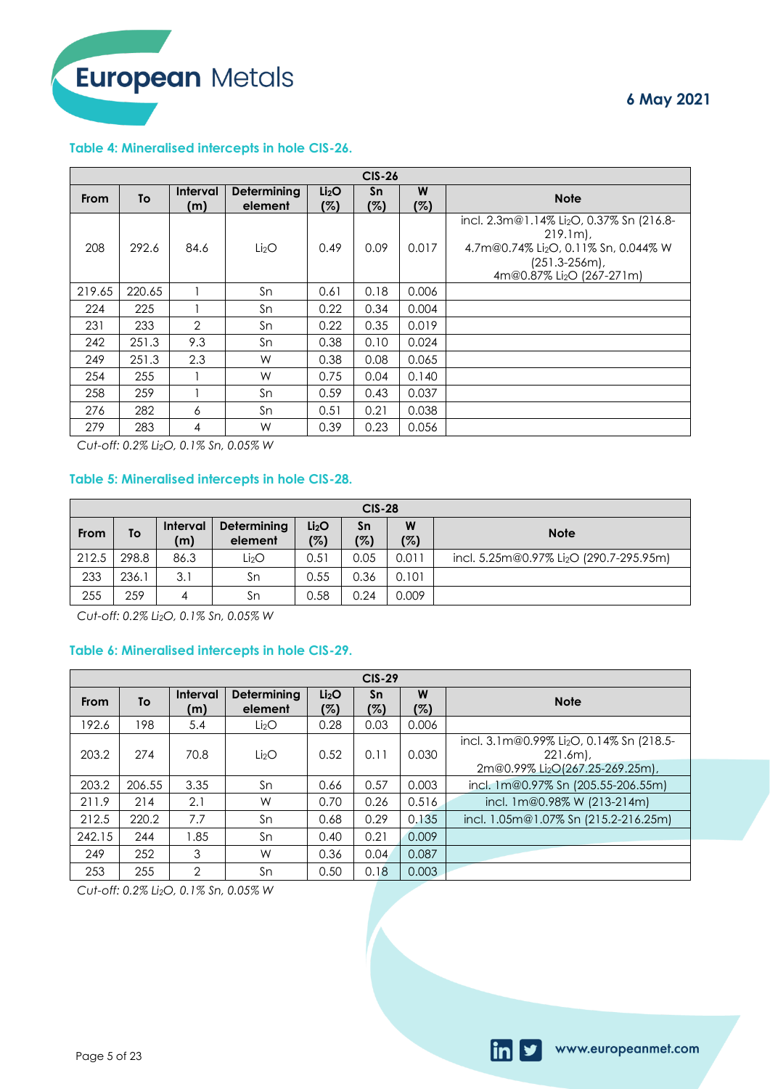**6 May 2021**

www.europeanmet.com

### **Table 4: Mineralised intercepts in hole CIS-26.**

|        | <b>CIS-26</b> |                        |                               |                          |           |          |                                                                                                                                                                          |  |  |  |
|--------|---------------|------------------------|-------------------------------|--------------------------|-----------|----------|--------------------------------------------------------------------------------------------------------------------------------------------------------------------------|--|--|--|
| From   | To            | <b>Interval</b><br>(m) | <b>Determining</b><br>element | Li <sub>2</sub> O<br>(%) | Sn<br>(%) | W<br>(%) | <b>Note</b>                                                                                                                                                              |  |  |  |
| 208    | 292.6         | 84.6                   | Li <sub>2</sub> O             | 0.49                     | 0.09      | 0.017    | incl. 2.3m@1.14% Li <sub>2</sub> O, 0.37% Sn (216.8-<br>$219.1m$ .<br>4.7m@0.74% Li2O, 0.11% Sn, 0.044% W<br>$(251.3 - 256m)$ ,<br>4m@0.87% Li <sub>2</sub> O (267-271m) |  |  |  |
| 219.65 | 220.65        |                        | Sn                            | 0.61                     | 0.18      | 0.006    |                                                                                                                                                                          |  |  |  |
| 224    | 225           |                        | Sn                            | 0.22                     | 0.34      | 0.004    |                                                                                                                                                                          |  |  |  |
| 231    | 233           | $\overline{2}$         | Sn                            | 0.22                     | 0.35      | 0.019    |                                                                                                                                                                          |  |  |  |
| 242    | 251.3         | 9.3                    | Sn                            | 0.38                     | 0.10      | 0.024    |                                                                                                                                                                          |  |  |  |
| 249    | 251.3         | 2.3                    | W                             | 0.38                     | 0.08      | 0.065    |                                                                                                                                                                          |  |  |  |
| 254    | 255           |                        | W                             | 0.75                     | 0.04      | 0.140    |                                                                                                                                                                          |  |  |  |
| 258    | 259           |                        | Sn                            | 0.59                     | 0.43      | 0.037    |                                                                                                                                                                          |  |  |  |
| 276    | 282           | 6                      | Sn                            | 0.51                     | 0.21      | 0.038    |                                                                                                                                                                          |  |  |  |
| 279    | 283           | 4                      | W                             | 0.39                     | 0.23      | 0.056    |                                                                                                                                                                          |  |  |  |

*Cut-off: 0.2% Li2O, 0.1% Sn, 0.05% W*

# **Table 5: Mineralised intercepts in hole CIS-28.**

|             | <b>CIS-28</b> |                        |                        |                          |           |          |                                                     |  |  |  |  |
|-------------|---------------|------------------------|------------------------|--------------------------|-----------|----------|-----------------------------------------------------|--|--|--|--|
| <b>From</b> | To            | <b>Interval</b><br>(m) | Determining<br>element | Li <sub>2</sub> O<br>(%) | Sn<br>(%) | W<br>(%) | <b>Note</b>                                         |  |  |  |  |
| 212.5       | 298.8         | 86.3                   | Li <sub>2</sub> O      | 0.51                     | 0.05      | 0.011    | incl. 5.25m@0.97% Li <sub>2</sub> O (290.7-295.95m) |  |  |  |  |
| 233         | 236.1         | 3.1                    | Sn                     | 0.55                     | 0.36      | 0.101    |                                                     |  |  |  |  |
| 255         | 259           |                        | Sn                     | 0.58                     | 0.24      | 0.009    |                                                     |  |  |  |  |

*Cut-off: 0.2% Li2O, 0.1% Sn, 0.05% W*

### **Table 6: Mineralised intercepts in hole CIS-29.**

|        | $CIS-29$ |                        |                        |                          |           |          |                                                                                                                    |  |  |  |
|--------|----------|------------------------|------------------------|--------------------------|-----------|----------|--------------------------------------------------------------------------------------------------------------------|--|--|--|
| From   | To       | <b>Interval</b><br>(m) | Determining<br>element | Li <sub>2</sub> O<br>(%) | Sn<br>(%) | W<br>(%) | <b>Note</b>                                                                                                        |  |  |  |
| 192.6  | 198      | 5.4                    | Li <sub>2</sub> O      | 0.28                     | 0.03      | 0.006    |                                                                                                                    |  |  |  |
| 203.2  | 274      | 70.8                   | Li <sub>2</sub> O      | 0.52                     | 0.11      | 0.030    | incl. 3.1m@0.99% Li <sub>2</sub> O, 0.14% Sn (218.5-<br>$221.6m$ ),<br>2m@0.99% Li <sub>2</sub> O(267.25-269.25m), |  |  |  |
| 203.2  | 206.55   | 3.35                   | Sn                     | 0.66                     | 0.57      | 0.003    | incl. 1m@0.97% Sn (205.55-206.55m)                                                                                 |  |  |  |
| 211.9  | 214      | 2.1                    | W                      | 0.70                     | 0.26      | 0.516    | incl. 1m@0.98% W (213-214m)                                                                                        |  |  |  |
| 212.5  | 220.2    | 7.7                    | Sn                     | 0.68                     | 0.29      | 0.135    | incl. 1.05m@1.07% Sn (215.2-216.25m)                                                                               |  |  |  |
| 242.15 | 244      | 1.85                   | Sn                     | 0.40                     | 0.21      | 0.009    |                                                                                                                    |  |  |  |
| 249    | 252      | 3                      | W                      | 0.36                     | 0.04      | 0.087    |                                                                                                                    |  |  |  |
| 253    | 255      | $\overline{2}$         | Sn                     | 0.50                     | 0.18      | 0.003    |                                                                                                                    |  |  |  |

*Cut-off: 0.2% Li2O, 0.1% Sn, 0.05% W*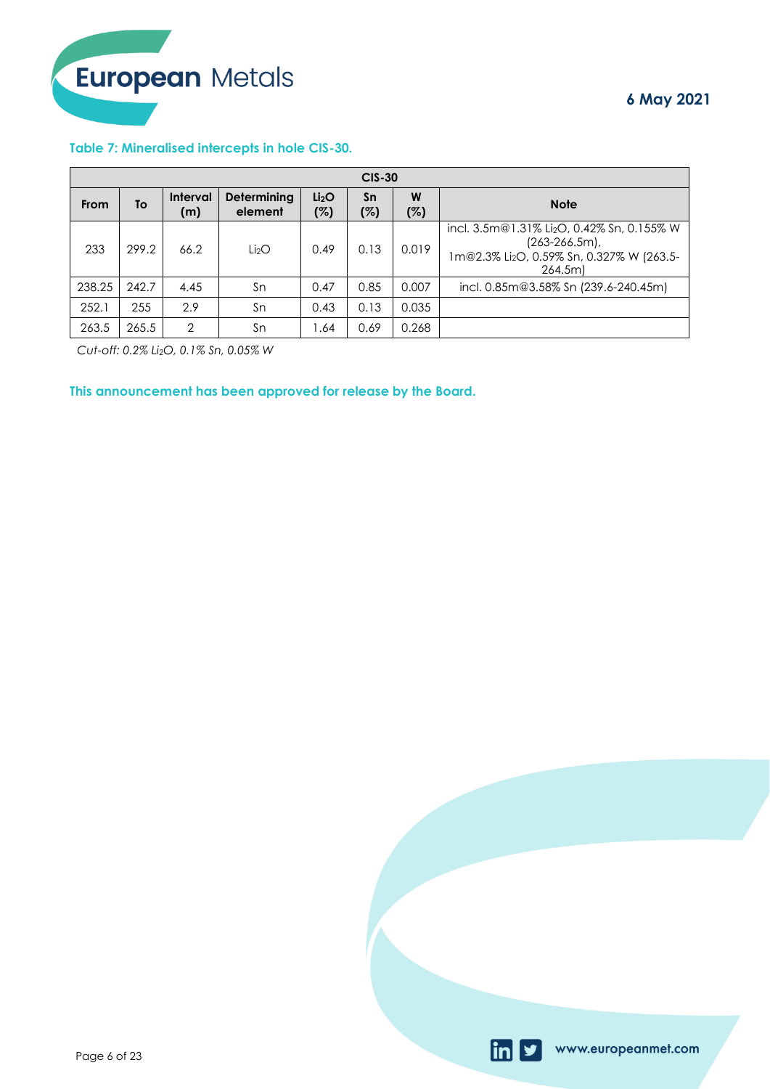### **Table 7: Mineralised intercepts in hole CIS-30.**

|        | $CIS-30$ |                        |                        |                          |           |          |                                                                                                                                    |  |  |  |  |
|--------|----------|------------------------|------------------------|--------------------------|-----------|----------|------------------------------------------------------------------------------------------------------------------------------------|--|--|--|--|
| From   | To       | <b>Interval</b><br>(m) | Determining<br>element | Li <sub>2</sub> O<br>(%) | Sn<br>(%) | W<br>(%) | <b>Note</b>                                                                                                                        |  |  |  |  |
| 233    | 299.2    | 66.2                   | Li <sub>2</sub> O      | 0.49                     | 0.13      | 0.019    | incl. 3.5m@1.31% Li <sub>2</sub> O, 0.42% Sn, 0.155% W<br>$(263 - 266.5m)$ ,<br>1m@2.3% Li2O, 0.59% Sn, 0.327% W (263.5-<br>264.5m |  |  |  |  |
| 238.25 | 242.7    | 4.45                   | Sn                     | 0.47                     | 0.85      | 0.007    | incl. 0.85m@3.58% Sn (239.6-240.45m)                                                                                               |  |  |  |  |
| 252.1  | 255      | 2.9                    | Sn                     | 0.43                     | 0.13      | 0.035    |                                                                                                                                    |  |  |  |  |
| 263.5  | 265.5    | $\overline{2}$         | Sn                     | 1.64                     | 0.69      | 0.268    |                                                                                                                                    |  |  |  |  |

*Cut-off: 0.2% Li2O, 0.1% Sn, 0.05% W*

**This announcement has been approved for release by the Board.**

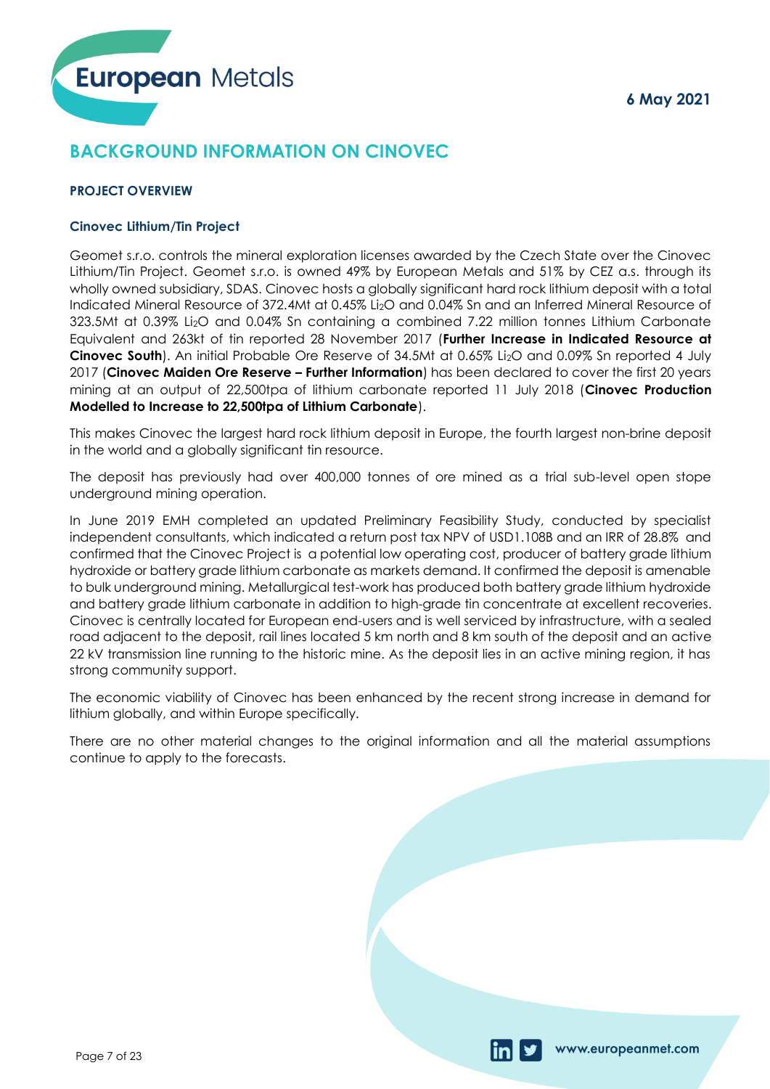

# **BACKGROUND INFORMATION ON CINOVEC**

# **PROJECT OVERVIEW**

### **Cinovec Lithium/Tin Project**

Geomet s.r.o. controls the mineral exploration licenses awarded by the Czech State over the Cinovec Lithium/Tin Project. Geomet s.r.o. is owned 49% by European Metals and 51% by CEZ a.s. through its wholly owned subsidiary, SDAS. Cinovec hosts a globally significant hard rock lithium deposit with a total Indicated Mineral Resource of 372.4Mt at 0.45% Li2O and 0.04% Sn and an Inferred Mineral Resource of 323.5Mt at 0.39% Li2O and 0.04% Sn containing a combined 7.22 million tonnes Lithium Carbonate Equivalent and 263kt of tin reported 28 November 2017 (**Further Increase in Indicated Resource at Cinovec South**). An initial Probable Ore Reserve of 34.5Mt at 0.65% Li2O and 0.09% Sn reported 4 July 2017 (**Cinovec Maiden Ore Reserve – Further Information**) has been declared to cover the first 20 years mining at an output of 22,500tpa of lithium carbonate reported 11 July 2018 (**Cinovec Production Modelled to Increase to 22,500tpa of Lithium Carbonate**).

This makes Cinovec the largest hard rock lithium deposit in Europe, the fourth largest non-brine deposit in the world and a globally significant tin resource.

The deposit has previously had over 400,000 tonnes of ore mined as a trial sub-level open stope underground mining operation.

In June 2019 EMH completed an updated Preliminary Feasibility Study, conducted by specialist independent consultants, which indicated a return post tax NPV of USD1.108B and an IRR of 28.8% and confirmed that the Cinovec Project is a potential low operating cost, producer of battery grade lithium hydroxide or battery grade lithium carbonate as markets demand. It confirmed the deposit is amenable to bulk underground mining. Metallurgical test-work has produced both battery grade lithium hydroxide and battery grade lithium carbonate in addition to high-grade tin concentrate at excellent recoveries. Cinovec is centrally located for European end-users and is well serviced by infrastructure, with a sealed road adjacent to the deposit, rail lines located 5 km north and 8 km south of the deposit and an active 22 kV transmission line running to the historic mine. As the deposit lies in an active mining region, it has strong community support.

The economic viability of Cinovec has been enhanced by the recent strong increase in demand for lithium globally, and within Europe specifically.

There are no other material changes to the original information and all the material assumptions continue to apply to the forecasts.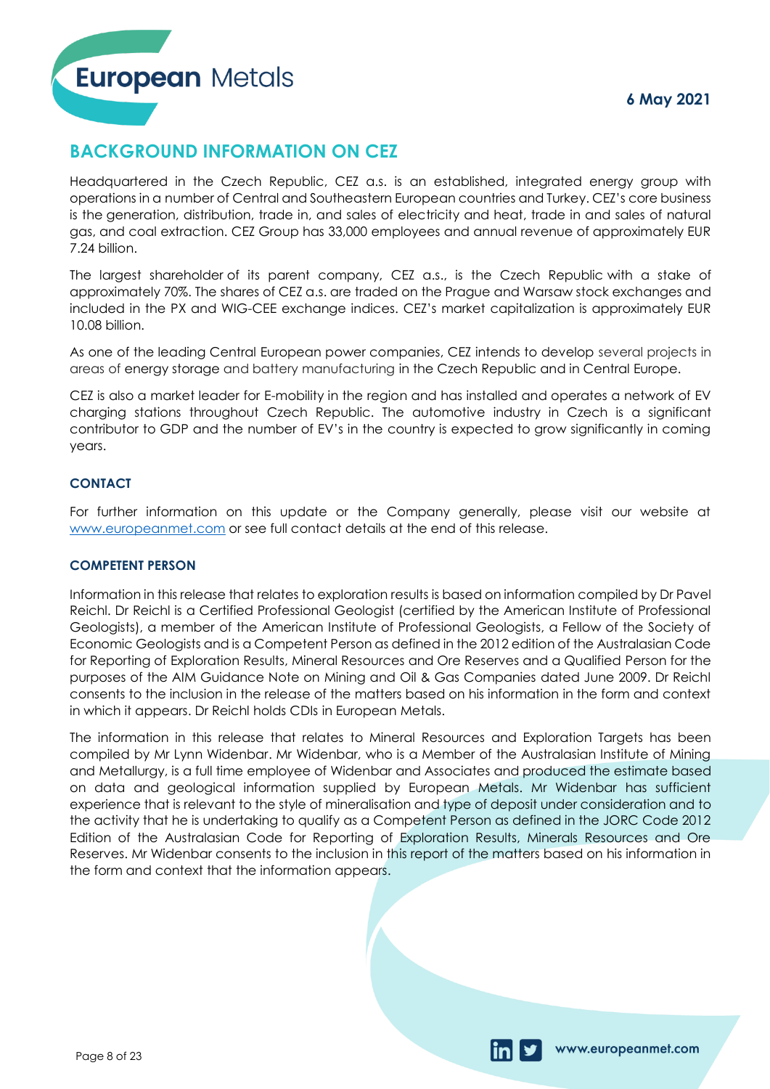www.europeanmet.com



# **BACKGROUND INFORMATION ON CEZ**

Headquartered in the Czech Republic, CEZ a.s. is an established, integrated energy group with operations in a number of Central and Southeastern European countries and Turkey. CEZ's core business is the generation, distribution, trade in, and sales of electricity and heat, trade in and sales of natural gas, and coal extraction. CEZ Group has 33,000 employees and annual revenue of approximately EUR 7.24 billion.

The largest shareholder of its parent company, CEZ a.s., is the Czech Republic with a stake of approximately 70%. The shares of CEZ a.s. are traded on the Prague and Warsaw stock exchanges and included in the PX and WIG-CEE exchange indices. CEZ's market capitalization is approximately EUR 10.08 billion.

As one of the leading Central European power companies, CEZ intends to develop several projects in areas of energy storage and battery manufacturing in the Czech Republic and in Central Europe.

CEZ is also a market leader for E-mobility in the region and has installed and operates a network of EV charging stations throughout Czech Republic. The automotive industry in Czech is a significant contributor to GDP and the number of EV's in the country is expected to grow significantly in coming years.

# **CONTACT**

For further information on this update or the Company generally, please visit our website at [www.europeanmet.com](http://www.europeanmet.com/) or see full contact details at the end of this release.

# **COMPETENT PERSON**

Information in this release that relates to exploration results is based on information compiled by Dr Pavel Reichl. Dr Reichl is a Certified Professional Geologist (certified by the American Institute of Professional Geologists), a member of the American Institute of Professional Geologists, a Fellow of the Society of Economic Geologists and is a Competent Person as defined in the 2012 edition of the Australasian Code for Reporting of Exploration Results, Mineral Resources and Ore Reserves and a Qualified Person for the purposes of the AIM Guidance Note on Mining and Oil & Gas Companies dated June 2009. Dr Reichl consents to the inclusion in the release of the matters based on his information in the form and context in which it appears. Dr Reichl holds CDIs in European Metals.

The information in this release that relates to Mineral Resources and Exploration Targets has been compiled by Mr Lynn Widenbar. Mr Widenbar, who is a Member of the Australasian Institute of Mining and Metallurgy, is a full time employee of Widenbar and Associates and produced the estimate based on data and geological information supplied by European Metals. Mr Widenbar has sufficient experience that is relevant to the style of mineralisation and type of deposit under consideration and to the activity that he is undertaking to qualify as a Competent Person as defined in the JORC Code 2012 Edition of the Australasian Code for Reporting of Exploration Results, Minerals Resources and Ore Reserves. Mr Widenbar consents to the inclusion in this report of the matters based on his information in the form and context that the information appears.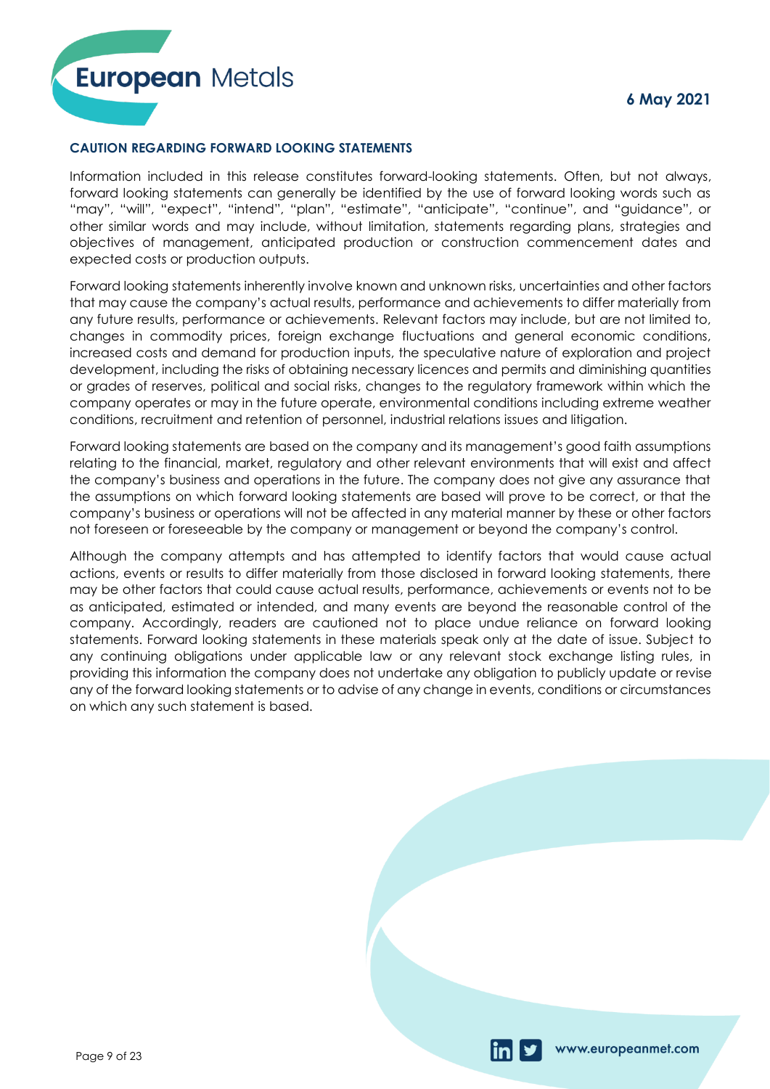# **CAUTION REGARDING FORWARD LOOKING STATEMENTS**

Information included in this release constitutes forward-looking statements. Often, but not always, forward looking statements can generally be identified by the use of forward looking words such as "may", "will", "expect", "intend", "plan", "estimate", "anticipate", "continue", and "guidance", or other similar words and may include, without limitation, statements regarding plans, strategies and objectives of management, anticipated production or construction commencement dates and expected costs or production outputs.

Forward looking statements inherently involve known and unknown risks, uncertainties and other factors that may cause the company's actual results, performance and achievements to differ materially from any future results, performance or achievements. Relevant factors may include, but are not limited to, changes in commodity prices, foreign exchange fluctuations and general economic conditions, increased costs and demand for production inputs, the speculative nature of exploration and project development, including the risks of obtaining necessary licences and permits and diminishing quantities or grades of reserves, political and social risks, changes to the regulatory framework within which the company operates or may in the future operate, environmental conditions including extreme weather conditions, recruitment and retention of personnel, industrial relations issues and litigation.

Forward looking statements are based on the company and its management's good faith assumptions relating to the financial, market, regulatory and other relevant environments that will exist and affect the company's business and operations in the future. The company does not give any assurance that the assumptions on which forward looking statements are based will prove to be correct, or that the company's business or operations will not be affected in any material manner by these or other factors not foreseen or foreseeable by the company or management or beyond the company's control.

Although the company attempts and has attempted to identify factors that would cause actual actions, events or results to differ materially from those disclosed in forward looking statements, there may be other factors that could cause actual results, performance, achievements or events not to be as anticipated, estimated or intended, and many events are beyond the reasonable control of the company. Accordingly, readers are cautioned not to place undue reliance on forward looking statements. Forward looking statements in these materials speak only at the date of issue. Subject to any continuing obligations under applicable law or any relevant stock exchange listing rules, in providing this information the company does not undertake any obligation to publicly update or revise any of the forward looking statements or to advise of any change in events, conditions or circumstances on which any such statement is based.

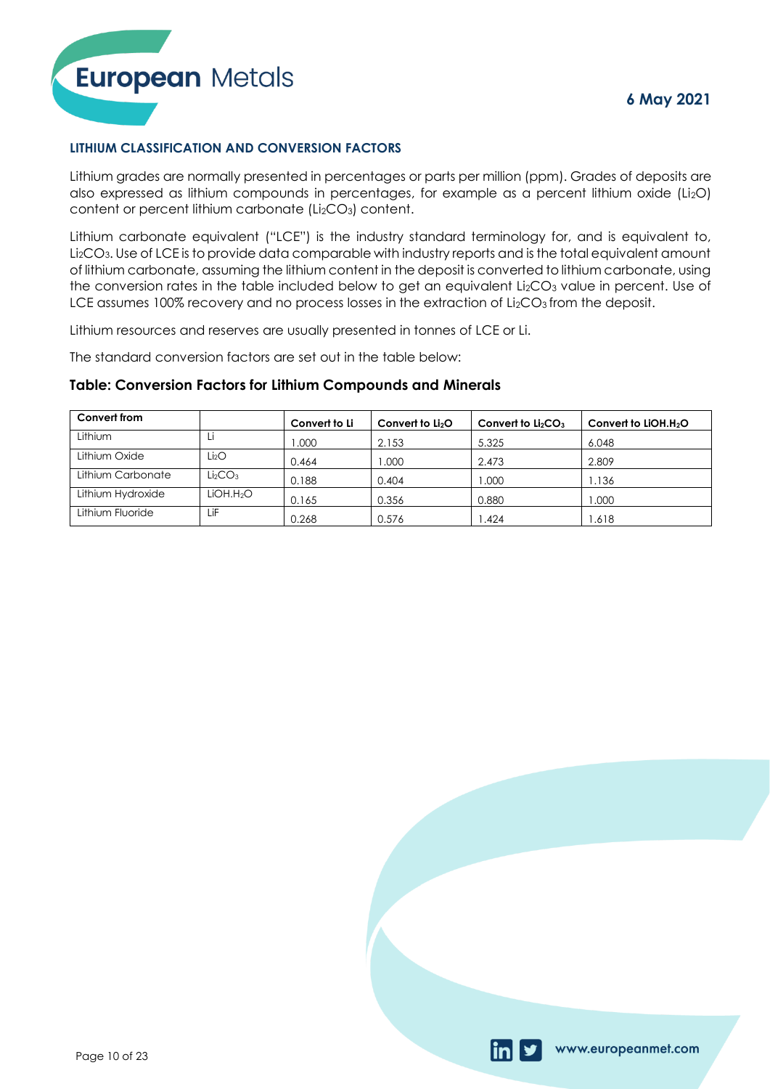



# **LITHIUM CLASSIFICATION AND CONVERSION FACTORS**

Lithium grades are normally presented in percentages or parts per million (ppm). Grades of deposits are also expressed as lithium compounds in percentages, for example as a percent lithium oxide (Li<sub>2</sub>O) content or percent lithium carbonate (Li<sub>2</sub>CO<sub>3</sub>) content.

Lithium carbonate equivalent ("LCE") is the industry standard terminology for, and is equivalent to, Li2CO3. Use of LCE is to provide data comparable with industry reports and is the total equivalent amount of lithium carbonate, assuming the lithium content in the deposit is converted to lithium carbonate, using the conversion rates in the table included below to get an equivalent  $Li<sub>2</sub>CO<sub>3</sub>$  value in percent. Use of LCE assumes 100% recovery and no process losses in the extraction of Li<sub>2</sub>CO<sub>3</sub> from the deposit.

Lithium resources and reserves are usually presented in tonnes of LCE or Li.

The standard conversion factors are set out in the table below:

# **Table: Conversion Factors for Lithium Compounds and Minerals**

| Convert from      |                                 | Convert to Li | Convert to $Li2O$ | Convert to $Li2CO3$ | Convert to $LiOH.H2O$ |
|-------------------|---------------------------------|---------------|-------------------|---------------------|-----------------------|
| Lithium           |                                 | .000          | 2.153             | 5.325               | 6.048                 |
| Lithium Oxide     | Li2O                            | 0.464         | .000              | 2.473               | 2.809                 |
| Lithium Carbonate | Li <sub>2</sub> CO <sub>3</sub> | 0.188         | 0.404             | 000.1               | 1.136                 |
| Lithium Hydroxide | LiOH.H2O                        | 0.165         | 0.356             | 0.880               | 000. ا                |
| Lithium Fluoride  | LiF                             | 0.268         | 0.576             | .424                | 1.618                 |

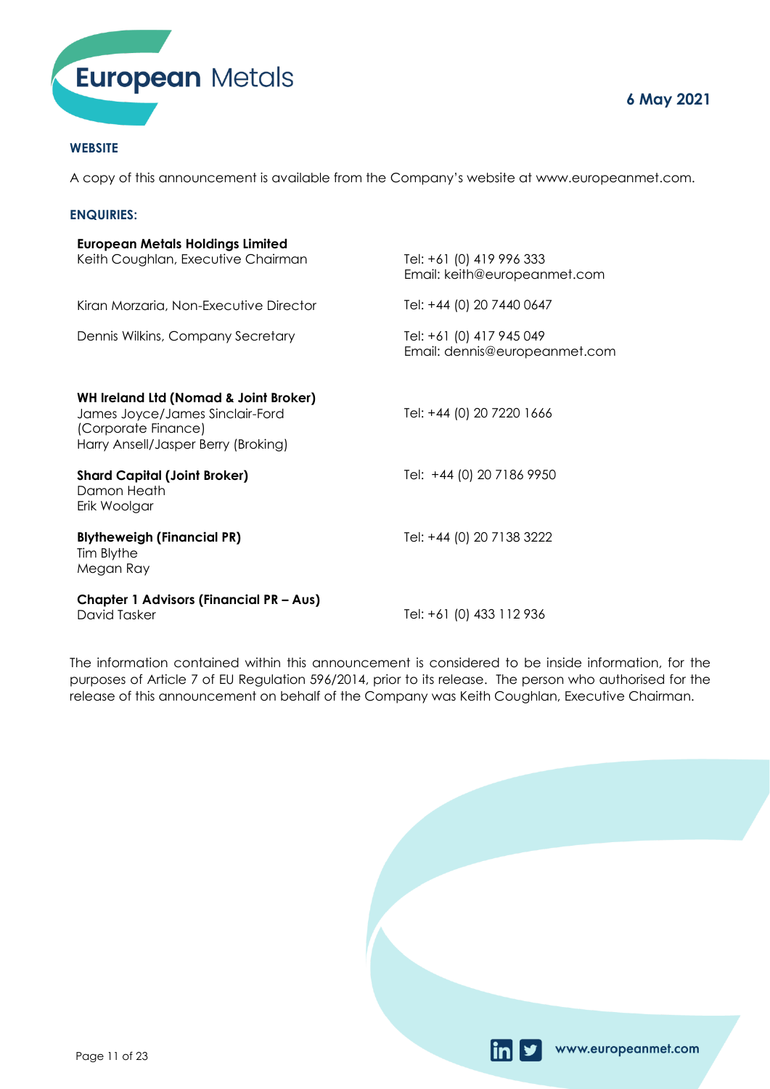

## **WEBSITE**

A copy of this announcement is available from the Company's website at www.europeanmet.com.

### **ENQUIRIES:**

| <b>European Metals Holdings Limited</b><br>Keith Coughlan, Executive Chairman                                                                     | Tel: +61 (0) 419 996 333<br>Email: keith@europeanmet.com  |
|---------------------------------------------------------------------------------------------------------------------------------------------------|-----------------------------------------------------------|
| Kiran Morzaria, Non-Executive Director                                                                                                            | Tel: +44 (0) 20 7440 0647                                 |
| Dennis Wilkins, Company Secretary                                                                                                                 | Tel: +61 (0) 417 945 049<br>Email: dennis@europeanmet.com |
| <b>WH Ireland Ltd (Nomad &amp; Joint Broker)</b><br>James Joyce/James Sinclair-Ford<br>(Corporate Finance)<br>Harry Ansell/Jasper Berry (Broking) | Tel: +44 (0) 20 7220 1666                                 |
| <b>Shard Capital (Joint Broker)</b><br>Damon Heath<br>Erik Woolgar                                                                                | Tel: +44 (0) 20 7186 9950                                 |
| <b>Blytheweigh (Financial PR)</b><br>Tim Blythe<br>Megan Ray                                                                                      | Tel: +44 (0) 20 7138 3222                                 |
| <b>Chapter 1 Advisors (Financial PR - Aus)</b><br>David Tasker                                                                                    | Tel: +61 (0) 433 112 936                                  |

The information contained within this announcement is considered to be inside information, for the purposes of Article 7 of EU Regulation 596/2014, prior to its release. The person who authorised for the release of this announcement on behalf of the Company was Keith Coughlan, Executive Chairman.

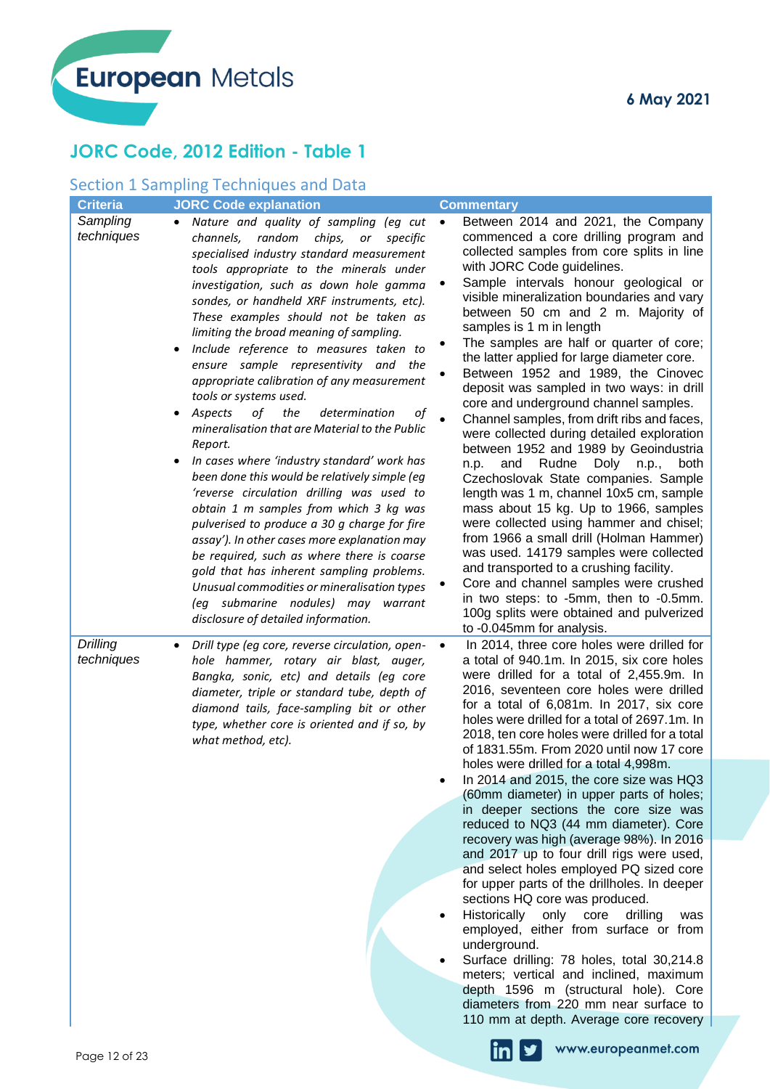# **JORC Code, 2012 Edition - Table 1**

# Section 1 Sampling Techniques and Data

| <b>Criteria</b><br><b>JORC Code explanation</b>                                                                                                                                                                                                                                                                                                                                                                                                                                                                                                                                                                                                                                                                                                                                                                                                                                                                                                                                                                                                                                                                                                                                         | <b>Commentary</b>                                                                                                                                                                                                                                                                                                                                                                                                                                                                                                                                                                                                                                                                                                                                                                                                                                                                                                                                                                                                                                                                                                                                                                                              |
|-----------------------------------------------------------------------------------------------------------------------------------------------------------------------------------------------------------------------------------------------------------------------------------------------------------------------------------------------------------------------------------------------------------------------------------------------------------------------------------------------------------------------------------------------------------------------------------------------------------------------------------------------------------------------------------------------------------------------------------------------------------------------------------------------------------------------------------------------------------------------------------------------------------------------------------------------------------------------------------------------------------------------------------------------------------------------------------------------------------------------------------------------------------------------------------------|----------------------------------------------------------------------------------------------------------------------------------------------------------------------------------------------------------------------------------------------------------------------------------------------------------------------------------------------------------------------------------------------------------------------------------------------------------------------------------------------------------------------------------------------------------------------------------------------------------------------------------------------------------------------------------------------------------------------------------------------------------------------------------------------------------------------------------------------------------------------------------------------------------------------------------------------------------------------------------------------------------------------------------------------------------------------------------------------------------------------------------------------------------------------------------------------------------------|
| Sampling<br>Nature and quality of sampling (eg cut<br>$\bullet$<br>techniques<br>channels, random<br>chips, or<br>specific<br>specialised industry standard measurement<br>tools appropriate to the minerals under<br>investigation, such as down hole gamma<br>sondes, or handheld XRF instruments, etc).<br>These examples should not be taken as<br>limiting the broad meaning of sampling.<br>Include reference to measures taken to<br>ensure sample representivity and the<br>appropriate calibration of any measurement<br>tools or systems used.<br>of<br>the<br>Aspects<br>determination<br>of<br>٠<br>mineralisation that are Material to the Public<br>Report.<br>In cases where 'industry standard' work has<br>been done this would be relatively simple (eg<br>'reverse circulation drilling was used to<br>obtain 1 m samples from which 3 kg was<br>pulverised to produce a 30 g charge for fire<br>assay'). In other cases more explanation may<br>be required, such as where there is coarse<br>gold that has inherent sampling problems.<br>Unusual commodities or mineralisation types<br>(eg submarine nodules) may warrant<br>disclosure of detailed information. | Between 2014 and 2021, the Company<br>$\bullet$<br>commenced a core drilling program and<br>collected samples from core splits in line<br>with JORC Code guidelines.<br>Sample intervals honour geological or<br>visible mineralization boundaries and vary<br>between 50 cm and 2 m. Majority of<br>samples is 1 m in length<br>The samples are half or quarter of core;<br>the latter applied for large diameter core.<br>Between 1952 and 1989, the Cinovec<br>deposit was sampled in two ways: in drill<br>core and underground channel samples.<br>Channel samples, from drift ribs and faces,<br>were collected during detailed exploration<br>between 1952 and 1989 by Geoindustria<br>n.p.<br>Rudne<br>Doly<br>and<br>n.p.,<br>both<br>Czechoslovak State companies. Sample<br>length was 1 m, channel 10x5 cm, sample<br>mass about 15 kg. Up to 1966, samples<br>were collected using hammer and chisel;<br>from 1966 a small drill (Holman Hammer)<br>was used. 14179 samples were collected<br>and transported to a crushing facility.<br>Core and channel samples were crushed<br>in two steps: to -5mm, then to -0.5mm.<br>100g splits were obtained and pulverized<br>to -0.045mm for analysis. |
| Drilling<br>Drill type (eg core, reverse circulation, open-<br>٠<br>techniques<br>hole hammer, rotary air blast, auger,<br>Bangka, sonic, etc) and details (eg core<br>diameter, triple or standard tube, depth of<br>diamond tails, face-sampling bit or other<br>type, whether core is oriented and if so, by<br>what method, etc).<br>Page 12 of 23                                                                                                                                                                                                                                                                                                                                                                                                                                                                                                                                                                                                                                                                                                                                                                                                                                  | In 2014, three core holes were drilled for<br>$\bullet$<br>a total of 940.1m. In 2015, six core holes<br>were drilled for a total of 2,455.9m. In<br>2016, seventeen core holes were drilled<br>for a total of 6,081m. In 2017, six core<br>holes were drilled for a total of 2697.1m. In<br>2018, ten core holes were drilled for a total<br>of 1831.55m. From 2020 until now 17 core<br>holes were drilled for a total 4,998m.<br>In 2014 and 2015, the core size was HQ3<br>(60mm diameter) in upper parts of holes;<br>in deeper sections the core size was<br>reduced to NQ3 (44 mm diameter). Core<br>recovery was high (average 98%). In 2016<br>and 2017 up to four drill rigs were used,<br>and select holes employed PQ sized core<br>for upper parts of the drillholes. In deeper<br>sections HQ core was produced.<br>Historically<br>only core<br>drilling<br>was<br>employed, either from surface or from<br>underground.<br>Surface drilling: 78 holes, total 30,214.8<br>$\bullet$<br>meters; vertical and inclined, maximum<br>depth 1596 m (structural hole). Core<br>diameters from 220 mm near surface to<br>110 mm at depth. Average core recovery<br>www.europeanmet.com                 |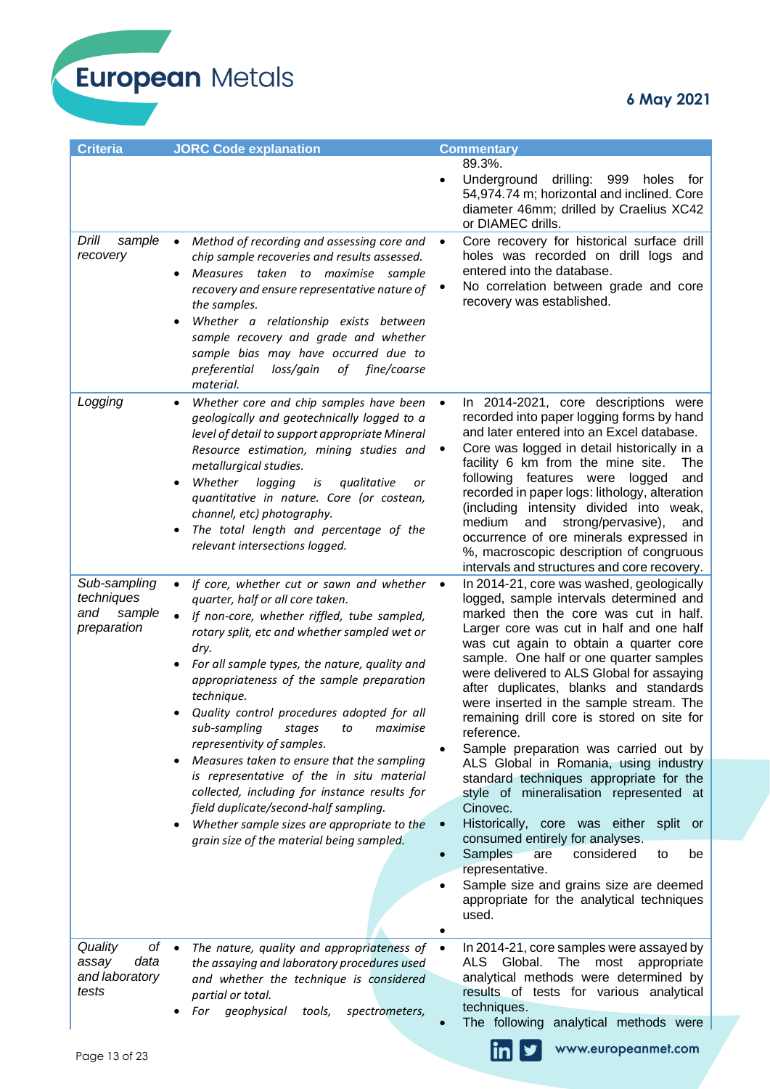| <b>Criteria</b>                                                     | <b>JORC Code explanation</b>                                                                                                                                                                                                                                                                                                                                                                                                                                                                                                                                                                                                                                                                                                       | <b>Commentary</b>                                                                                                                                                                                                                                                                                                                                                                                                                                                                                                                                                                                                                                                                                                                                                                                                                                                                                                                  |
|---------------------------------------------------------------------|------------------------------------------------------------------------------------------------------------------------------------------------------------------------------------------------------------------------------------------------------------------------------------------------------------------------------------------------------------------------------------------------------------------------------------------------------------------------------------------------------------------------------------------------------------------------------------------------------------------------------------------------------------------------------------------------------------------------------------|------------------------------------------------------------------------------------------------------------------------------------------------------------------------------------------------------------------------------------------------------------------------------------------------------------------------------------------------------------------------------------------------------------------------------------------------------------------------------------------------------------------------------------------------------------------------------------------------------------------------------------------------------------------------------------------------------------------------------------------------------------------------------------------------------------------------------------------------------------------------------------------------------------------------------------|
|                                                                     |                                                                                                                                                                                                                                                                                                                                                                                                                                                                                                                                                                                                                                                                                                                                    | 89.3%.<br>Underground<br>drilling:<br>999<br>holes<br>tor<br>54,974.74 m; horizontal and inclined. Core<br>diameter 46mm; drilled by Craelius XC42<br>or DIAMEC drills.                                                                                                                                                                                                                                                                                                                                                                                                                                                                                                                                                                                                                                                                                                                                                            |
| Drill<br>sample<br>recovery                                         | Method of recording and assessing core and<br>$\bullet$<br>chip sample recoveries and results assessed.<br>Measures taken to maximise sample<br>recovery and ensure representative nature of<br>the samples.<br>Whether a relationship exists between<br>sample recovery and grade and whether<br>sample bias may have occurred due to<br>of fine/coarse<br>preferential<br>loss/gain<br>material.                                                                                                                                                                                                                                                                                                                                 | Core recovery for historical surface drill<br>$\bullet$<br>holes was recorded on drill logs and<br>entered into the database.<br>No correlation between grade and core<br>recovery was established.                                                                                                                                                                                                                                                                                                                                                                                                                                                                                                                                                                                                                                                                                                                                |
| Logging                                                             | Whether core and chip samples have been<br>geologically and geotechnically logged to a<br>level of detail to support appropriate Mineral<br>Resource estimation, mining studies and<br>metallurgical studies.<br>Whether<br>logging<br>qualitative<br>is<br>or<br>quantitative in nature. Core (or costean,<br>channel, etc) photography.<br>The total length and percentage of the<br>relevant intersections logged.                                                                                                                                                                                                                                                                                                              | In 2014-2021, core descriptions were<br>recorded into paper logging forms by hand<br>and later entered into an Excel database.<br>Core was logged in detail historically in a<br>facility 6 km from the mine site.<br>The<br>following features were logged<br>and<br>recorded in paper logs: lithology, alteration<br>(including intensity divided into weak,<br>medium<br>strong/pervasive),<br>and<br>and<br>occurrence of ore minerals expressed in<br>%, macroscopic description of congruous<br>intervals and structures and core recovery.                                                                                                                                                                                                                                                                                                                                                                                  |
| Sub-sampling<br>techniques<br>sample<br>and<br>preparation          | If core, whether cut or sawn and whether<br>$\bullet$<br>quarter, half or all core taken.<br>If non-core, whether riffled, tube sampled,<br>$\bullet$<br>rotary split, etc and whether sampled wet or<br>dry.<br>For all sample types, the nature, quality and<br>appropriateness of the sample preparation<br>technique.<br>Quality control procedures adopted for all<br>sub-sampling<br>maximise<br>stages<br>to<br>representivity of samples.<br>Measures taken to ensure that the sampling<br>is representative of the in situ material<br>collected, including for instance results for<br>field duplicate/second-half sampling.<br>Whether sample sizes are appropriate to the<br>grain size of the material being sampled. | In 2014-21, core was washed, geologically<br>$\bullet$<br>logged, sample intervals determined and<br>marked then the core was cut in half.<br>Larger core was cut in half and one half<br>was cut again to obtain a quarter core<br>sample. One half or one quarter samples<br>were delivered to ALS Global for assaying<br>after duplicates, blanks and standards<br>were inserted in the sample stream. The<br>remaining drill core is stored on site for<br>reference.<br>Sample preparation was carried out by<br>ALS Global in Romania, using industry<br>standard techniques appropriate for the<br>style of mineralisation represented at<br>Cinovec.<br>Historically, core was either split or<br>$\bullet$<br>consumed entirely for analyses.<br>Samples<br>considered<br>are<br>be<br>to<br>representative.<br>Sample size and grains size are deemed<br>$\bullet$<br>appropriate for the analytical techniques<br>used. |
| Quality<br>$of \bullet$<br>data<br>assay<br>and laboratory<br>tests | The nature, quality and appropriateness of<br>the assaying and laboratory procedures used<br>and whether the technique is considered<br>partial or total.<br>geophysical<br>For<br>tools,<br>spectrometers,                                                                                                                                                                                                                                                                                                                                                                                                                                                                                                                        | In 2014-21, core samples were assayed by<br>$\bullet$<br>ALS Global.<br>The most<br>appropriate<br>analytical methods were determined by<br>results of tests for various analytical<br>techniques.                                                                                                                                                                                                                                                                                                                                                                                                                                                                                                                                                                                                                                                                                                                                 |
| Page 13 of 23                                                       |                                                                                                                                                                                                                                                                                                                                                                                                                                                                                                                                                                                                                                                                                                                                    | The following analytical methods were<br>www.europeanmet.com                                                                                                                                                                                                                                                                                                                                                                                                                                                                                                                                                                                                                                                                                                                                                                                                                                                                       |

 $\ln$   $\frac{y}{x}$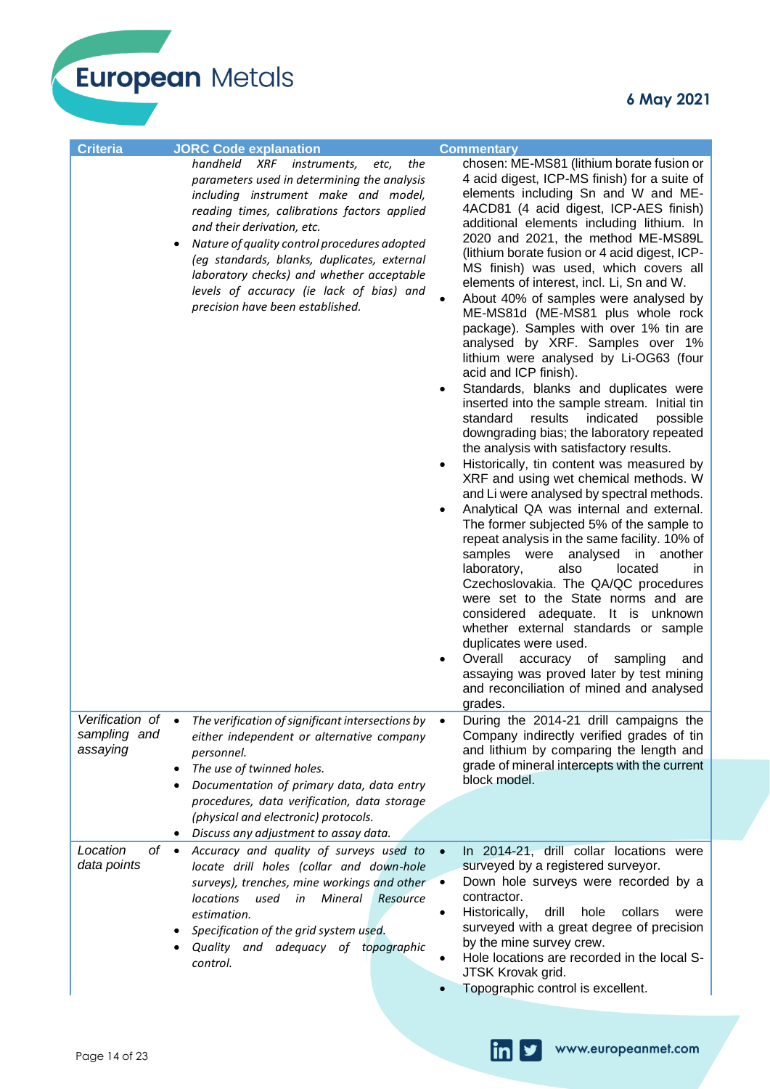European Metals

| <b>Criteria</b>                             | <b>JORC Code explanation</b>                                                                                                                                                                                                                                                                                                                                                                                                             | <b>Commentary</b>                                                                                                                                                                                                                                                                                                                                                                                                                                                                                                                                                                                                                                                                                                                                                                                                                                                                                                                                                                                                                                                                                                                                                                                                                                                                                                                                                                                                                                                                                                                                                                                     |
|---------------------------------------------|------------------------------------------------------------------------------------------------------------------------------------------------------------------------------------------------------------------------------------------------------------------------------------------------------------------------------------------------------------------------------------------------------------------------------------------|-------------------------------------------------------------------------------------------------------------------------------------------------------------------------------------------------------------------------------------------------------------------------------------------------------------------------------------------------------------------------------------------------------------------------------------------------------------------------------------------------------------------------------------------------------------------------------------------------------------------------------------------------------------------------------------------------------------------------------------------------------------------------------------------------------------------------------------------------------------------------------------------------------------------------------------------------------------------------------------------------------------------------------------------------------------------------------------------------------------------------------------------------------------------------------------------------------------------------------------------------------------------------------------------------------------------------------------------------------------------------------------------------------------------------------------------------------------------------------------------------------------------------------------------------------------------------------------------------------|
|                                             | handheld XRF instruments,<br>the<br>etc,<br>parameters used in determining the analysis<br>including instrument make and model,<br>reading times, calibrations factors applied<br>and their derivation, etc.<br>Nature of quality control procedures adopted<br>(eg standards, blanks, duplicates, external<br>laboratory checks) and whether acceptable<br>levels of accuracy (ie lack of bias) and<br>precision have been established. | chosen: ME-MS81 (lithium borate fusion or<br>4 acid digest, ICP-MS finish) for a suite of<br>elements including Sn and W and ME-<br>4ACD81 (4 acid digest, ICP-AES finish)<br>additional elements including lithium. In<br>2020 and 2021, the method ME-MS89L<br>(lithium borate fusion or 4 acid digest, ICP-<br>MS finish) was used, which covers all<br>elements of interest, incl. Li, Sn and W.<br>About 40% of samples were analysed by<br>ME-MS81d (ME-MS81 plus whole rock<br>package). Samples with over 1% tin are<br>analysed by XRF. Samples over 1%<br>lithium were analysed by Li-OG63 (four<br>acid and ICP finish).<br>Standards, blanks and duplicates were<br>$\bullet$<br>inserted into the sample stream. Initial tin<br>standard<br>results<br>indicated<br>possible<br>downgrading bias; the laboratory repeated<br>the analysis with satisfactory results.<br>Historically, tin content was measured by<br>$\bullet$<br>XRF and using wet chemical methods. W<br>and Li were analysed by spectral methods.<br>Analytical QA was internal and external.<br>The former subjected 5% of the sample to<br>repeat analysis in the same facility. 10% of<br>samples were<br>analysed<br>in<br>another<br>also<br>located<br>laboratory,<br>in.<br>Czechoslovakia. The QA/QC procedures<br>were set to the State norms and are<br>considered adequate. It is unknown<br>whether external standards or sample<br>duplicates were used.<br>Overall<br>accuracy of<br>sampling<br>and<br>assaying was proved later by test mining<br>and reconciliation of mined and analysed<br>grades. |
| Verification of<br>sampling and<br>assaying | The verification of significant intersections by<br>either independent or alternative company<br>personnel.<br>The use of twinned holes.<br>Documentation of primary data, data entry                                                                                                                                                                                                                                                    | During the 2014-21 drill campaigns the<br>Company indirectly verified grades of tin<br>and lithium by comparing the length and<br>grade of mineral intercepts with the current<br>block model.                                                                                                                                                                                                                                                                                                                                                                                                                                                                                                                                                                                                                                                                                                                                                                                                                                                                                                                                                                                                                                                                                                                                                                                                                                                                                                                                                                                                        |
|                                             | procedures, data verification, data storage<br>(physical and electronic) protocols.<br>Discuss any adjustment to assay data.                                                                                                                                                                                                                                                                                                             |                                                                                                                                                                                                                                                                                                                                                                                                                                                                                                                                                                                                                                                                                                                                                                                                                                                                                                                                                                                                                                                                                                                                                                                                                                                                                                                                                                                                                                                                                                                                                                                                       |
| Location<br>оf<br>data points               | Accuracy and quality of surveys used to<br>locate drill holes (collar and down-hole<br>surveys), trenches, mine workings and other<br><b>locations</b><br>used<br>Mineral<br>in<br>Resource<br>estimation.<br>Specification of the grid system used.<br>Quality and adequacy of topographic<br>control.                                                                                                                                  | In 2014-21, drill collar locations were<br>surveyed by a registered surveyor.<br>Down hole surveys were recorded by a<br>contractor.<br>Historically,<br>collars<br>drill<br>hole<br>were<br>٠<br>surveyed with a great degree of precision<br>by the mine survey crew.<br>Hole locations are recorded in the local S-<br>JTSK Krovak grid.<br>Topographic control is excellent.                                                                                                                                                                                                                                                                                                                                                                                                                                                                                                                                                                                                                                                                                                                                                                                                                                                                                                                                                                                                                                                                                                                                                                                                                      |

 $\overline{\ln}$   $\overline{y}$ 

www.europeanmet.com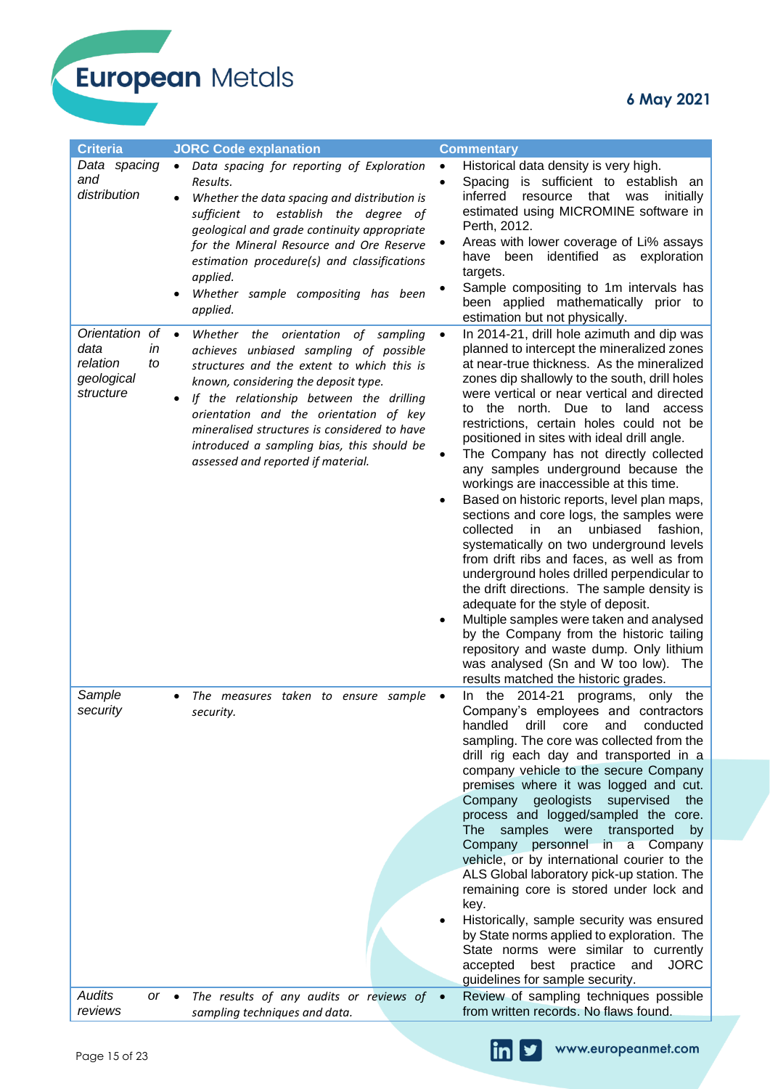# **6 May 2021**

| <b>Criteria</b>                                                           | <b>JORC Code explanation</b>                                                                                                                                                                                                                                                                                                                                                                                          | <b>Commentary</b>                                                                                                                                                                                                                                                                                                                                                                                                                                                                                                                                                                                                                                                                                                                                                                                                                                                                                                                                                                                                                                                                                                        |
|---------------------------------------------------------------------------|-----------------------------------------------------------------------------------------------------------------------------------------------------------------------------------------------------------------------------------------------------------------------------------------------------------------------------------------------------------------------------------------------------------------------|--------------------------------------------------------------------------------------------------------------------------------------------------------------------------------------------------------------------------------------------------------------------------------------------------------------------------------------------------------------------------------------------------------------------------------------------------------------------------------------------------------------------------------------------------------------------------------------------------------------------------------------------------------------------------------------------------------------------------------------------------------------------------------------------------------------------------------------------------------------------------------------------------------------------------------------------------------------------------------------------------------------------------------------------------------------------------------------------------------------------------|
| Data spacing<br>and<br>distribution                                       | Data spacing for reporting of Exploration<br>$\bullet$<br>Results.<br>Whether the data spacing and distribution is<br>sufficient to establish the degree of<br>geological and grade continuity appropriate<br>for the Mineral Resource and Ore Reserve<br>estimation procedure(s) and classifications<br>applied.<br>Whether sample compositing has been<br>applied.                                                  | Historical data density is very high.<br>$\bullet$<br>Spacing is sufficient to establish an<br>$\bullet$<br>inferred<br>that<br>was<br>initially<br>resource<br>estimated using MICROMINE software in<br>Perth, 2012.<br>Areas with lower coverage of Li% assays<br>identified as<br>have been<br>exploration<br>targets.<br>Sample compositing to 1m intervals has<br>been applied mathematically prior to<br>estimation but not physically.                                                                                                                                                                                                                                                                                                                                                                                                                                                                                                                                                                                                                                                                            |
| Orientation of<br>data<br>in<br>relation<br>to<br>geological<br>structure | $\bullet$<br>Whether<br>the orientation<br>of sampling<br>achieves unbiased sampling of possible<br>structures and the extent to which this is<br>known, considering the deposit type.<br>If the relationship between the drilling<br>٠<br>orientation and the orientation of key<br>mineralised structures is considered to have<br>introduced a sampling bias, this should be<br>assessed and reported if material. | In 2014-21, drill hole azimuth and dip was<br>$\bullet$<br>planned to intercept the mineralized zones<br>at near-true thickness. As the mineralized<br>zones dip shallowly to the south, drill holes<br>were vertical or near vertical and directed<br>the north. Due to<br>land access<br>to<br>restrictions, certain holes could not be<br>positioned in sites with ideal drill angle.<br>The Company has not directly collected<br>any samples underground because the<br>workings are inaccessible at this time.<br>Based on historic reports, level plan maps,<br>sections and core logs, the samples were<br>collected<br>unbiased<br>in<br>an<br>fashion,<br>systematically on two underground levels<br>from drift ribs and faces, as well as from<br>underground holes drilled perpendicular to<br>the drift directions. The sample density is<br>adequate for the style of deposit.<br>Multiple samples were taken and analysed<br>٠<br>by the Company from the historic tailing<br>repository and waste dump. Only lithium<br>was analysed (Sn and W too low).<br>The<br>results matched the historic grades. |
| Sample<br>security                                                        | The measures taken to ensure sample<br>security.                                                                                                                                                                                                                                                                                                                                                                      | 2014-21<br>programs,<br>the<br>only<br>the<br>In<br>$\bullet$<br>Company's employees and contractors<br>drill<br>handled<br>conducted<br>core<br>and<br>sampling. The core was collected from the<br>drill rig each day and transported in a<br>company vehicle to the secure Company<br>premises where it was logged and cut.<br>geologists<br>supervised<br>Company<br>the the<br>process and logged/sampled the core.<br><b>The</b><br>samples<br>transported<br>were<br>by<br>Company<br>personnel<br>$\overline{a}$<br>Company<br>in<br>vehicle, or by international courier to the<br>ALS Global laboratory pick-up station. The<br>remaining core is stored under lock and<br>key.<br>Historically, sample security was ensured<br>by State norms applied to exploration. The<br>State norms were similar to currently<br><b>JORC</b><br>best<br>practice<br>and<br>accepted<br>guidelines for sample security.                                                                                                                                                                                                   |
| <b>Audits</b><br>$or \bullet$<br>reviews                                  | The results of any audits or reviews of $\bullet$<br>sampling techniques and data.                                                                                                                                                                                                                                                                                                                                    | Review of sampling techniques possible<br>from written records. No flaws found.                                                                                                                                                                                                                                                                                                                                                                                                                                                                                                                                                                                                                                                                                                                                                                                                                                                                                                                                                                                                                                          |

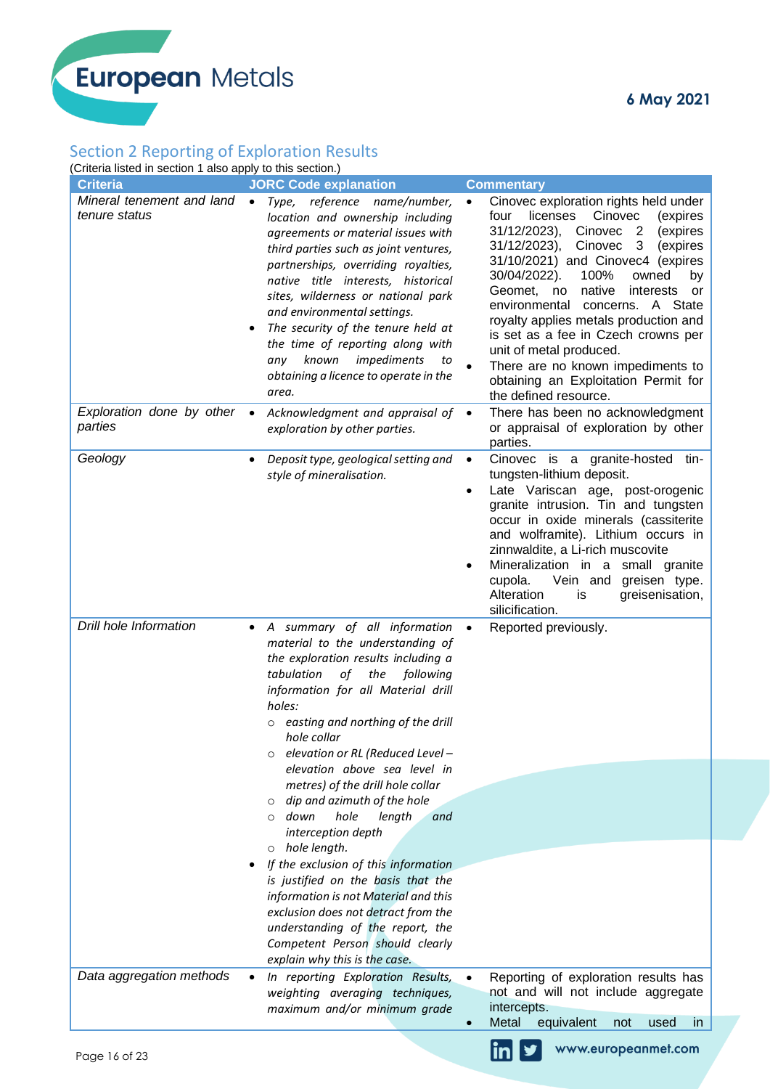# Section 2 Reporting of Exploration Results

(Criteria listed in section 1 also apply to this section.)

| Criteria ilsteu ili sectioni Taiso apply to this section.)                                   | <b>JORC Code explanation</b>                                                                                                                                                                                                                                                                                                                                                                                                                                                                                         |                                                                                                                                                                                                                                                                                                                                                                                                                                                                                                                                                                                                                              |
|----------------------------------------------------------------------------------------------|----------------------------------------------------------------------------------------------------------------------------------------------------------------------------------------------------------------------------------------------------------------------------------------------------------------------------------------------------------------------------------------------------------------------------------------------------------------------------------------------------------------------|------------------------------------------------------------------------------------------------------------------------------------------------------------------------------------------------------------------------------------------------------------------------------------------------------------------------------------------------------------------------------------------------------------------------------------------------------------------------------------------------------------------------------------------------------------------------------------------------------------------------------|
| <b>Criteria</b><br>Mineral tenement and land<br>tenure status<br>Exploration done by other • | Type, reference name/number,<br>$\bullet$<br>location and ownership including<br>agreements or material issues with<br>third parties such as joint ventures,<br>partnerships, overriding royalties,<br>native title interests, historical<br>sites, wilderness or national park<br>and environmental settings.<br>The security of the tenure held at<br>the time of reporting along with<br>known<br>impediments<br>to<br>any<br>obtaining a licence to operate in the<br>area.<br>Acknowledgment and appraisal of • | <b>Commentary</b><br>Cinovec exploration rights held under<br>٠<br>licenses<br>Cinovec<br>four<br>(expires<br>31/12/2023),<br>Cinovec <sub>2</sub><br>(expires<br>31/12/2023),<br>Cinovec<br>3<br>(expires<br>31/10/2021) and Cinovec4 (expires<br>30/04/2022).<br>100%<br>owned<br>by<br>Geomet, no<br>native<br>interests<br>or<br>environmental<br>concerns. A State<br>royalty applies metals production and<br>is set as a fee in Czech crowns per<br>unit of metal produced.<br>There are no known impediments to<br>obtaining an Exploitation Permit for<br>the defined resource.<br>There has been no acknowledgment |
| parties                                                                                      | exploration by other parties.                                                                                                                                                                                                                                                                                                                                                                                                                                                                                        | or appraisal of exploration by other<br>parties.                                                                                                                                                                                                                                                                                                                                                                                                                                                                                                                                                                             |
| Geology                                                                                      | Deposit type, geological setting and<br>style of mineralisation.                                                                                                                                                                                                                                                                                                                                                                                                                                                     | Cinovec is a granite-hosted tin-<br>$\bullet$<br>tungsten-lithium deposit.<br>Late Variscan age, post-orogenic<br>$\bullet$<br>granite intrusion. Tin and tungsten<br>occur in oxide minerals (cassiterite<br>and wolframite). Lithium occurs in<br>zinnwaldite, a Li-rich muscovite<br>Mineralization in a small granite<br>٠<br>Vein and greisen type.<br>cupola.<br>Alteration<br>greisenisation,<br>is<br>silicification.                                                                                                                                                                                                |
| Drill hole Information                                                                       | A summary of all information<br>$\bullet$<br>material to the understanding of<br>the exploration results including a<br>tabulation<br>of<br>the<br>following<br>information for all Material drill<br>holes:<br>$\circ$ easting and northing of the drill<br>hole collar<br>o elevation or RL (Reduced Level -                                                                                                                                                                                                       | Reported previously.<br>$\bullet$                                                                                                                                                                                                                                                                                                                                                                                                                                                                                                                                                                                            |
|                                                                                              | elevation above sea level in<br>metres) of the drill hole collar<br>dip and azimuth of the hole<br>$\circ$<br>$\circ$ down<br>hole<br>length<br>and<br>interception depth                                                                                                                                                                                                                                                                                                                                            |                                                                                                                                                                                                                                                                                                                                                                                                                                                                                                                                                                                                                              |
|                                                                                              | $\circ$ hole length.<br>If the exclusion of this information<br>is justified on the basis that the<br>information is not Material and this<br>exclusion does not detract from the<br>understanding of the report, the<br>Competent Person should clearly<br>explain why this is the case.                                                                                                                                                                                                                            |                                                                                                                                                                                                                                                                                                                                                                                                                                                                                                                                                                                                                              |
| Data aggregation methods                                                                     | In reporting Exploration Results,<br>weighting averaging techniques,<br>maximum and/or minimum grade                                                                                                                                                                                                                                                                                                                                                                                                                 | Reporting of exploration results has<br>not and will not include aggregate<br>intercepts.<br>Metal<br>equivalent<br>used<br>not<br>in.<br>$\bullet$                                                                                                                                                                                                                                                                                                                                                                                                                                                                          |
| Page 16 of 23                                                                                |                                                                                                                                                                                                                                                                                                                                                                                                                                                                                                                      | www.europeanmet.com                                                                                                                                                                                                                                                                                                                                                                                                                                                                                                                                                                                                          |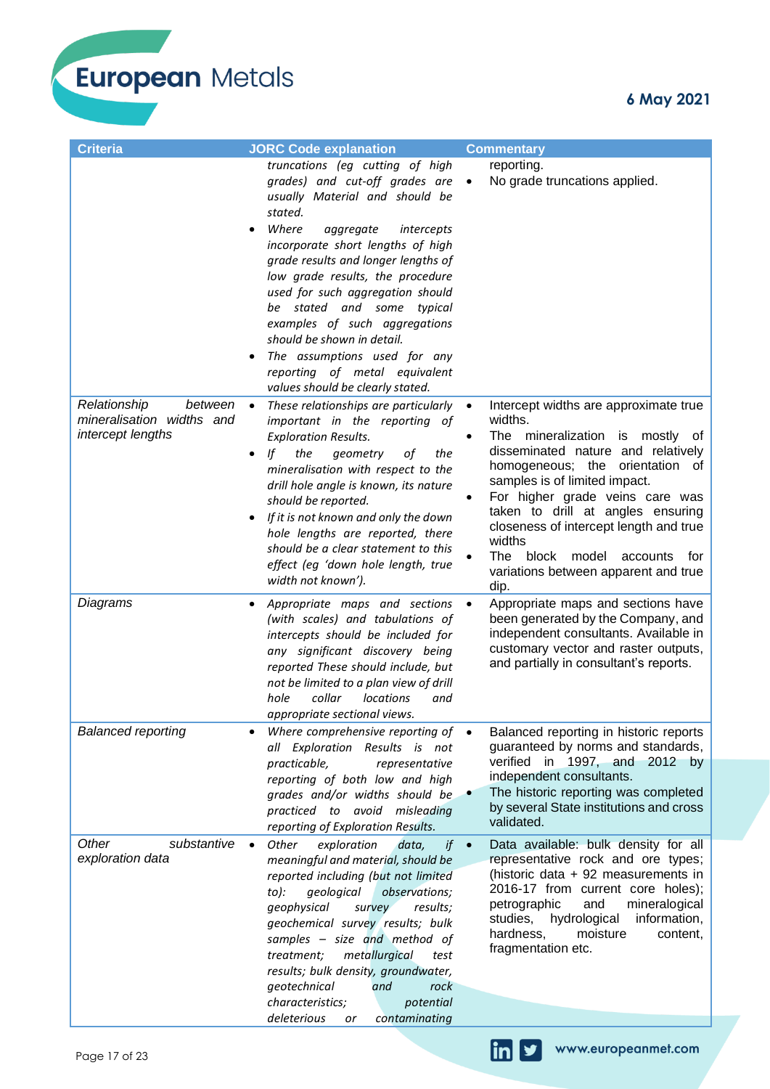www.europeanmet.com

 $\ln$ 

У

European Metals

| <b>Criteria</b>                                                           | <b>JORC Code explanation</b>                                                                                                                                                                                                                                                                                                                                                                                                                                                                                          | <b>Commentary</b>                                                                                                                                                                                                                                                                                                                                                                                                     |
|---------------------------------------------------------------------------|-----------------------------------------------------------------------------------------------------------------------------------------------------------------------------------------------------------------------------------------------------------------------------------------------------------------------------------------------------------------------------------------------------------------------------------------------------------------------------------------------------------------------|-----------------------------------------------------------------------------------------------------------------------------------------------------------------------------------------------------------------------------------------------------------------------------------------------------------------------------------------------------------------------------------------------------------------------|
|                                                                           | truncations (eg cutting of high<br>grades) and cut-off grades are<br>usually Material and should be<br>stated.<br>Where<br>aggregate<br>intercepts<br>$\bullet$<br>incorporate short lengths of high<br>grade results and longer lengths of<br>low grade results, the procedure<br>used for such aggregation should<br>be stated and some typical<br>examples of such aggregations<br>should be shown in detail.<br>The assumptions used for any<br>reporting of metal equivalent<br>values should be clearly stated. | reporting.<br>No grade truncations applied.<br>$\bullet$                                                                                                                                                                                                                                                                                                                                                              |
| Relationship<br>between<br>mineralisation widths and<br>intercept lengths | These relationships are particularly $\bullet$<br>$\bullet$<br>important in the reporting of<br><b>Exploration Results.</b><br>the<br>lf<br>the<br>geometry<br>οf<br>mineralisation with respect to the<br>drill hole angle is known, its nature<br>should be reported.<br>If it is not known and only the down<br>hole lengths are reported, there<br>should be a clear statement to this<br>effect (eg 'down hole length, true<br>width not known').                                                                | Intercept widths are approximate true<br>widths.<br>The mineralization is mostly of<br>disseminated nature and relatively<br>homogeneous; the orientation of<br>samples is of limited impact.<br>For higher grade veins care was<br>taken to drill at angles ensuring<br>closeness of intercept length and true<br>widths<br>The<br>block<br>model<br>accounts<br>for<br>variations between apparent and true<br>dip. |
| Diagrams                                                                  | Appropriate maps and sections<br>٠<br>(with scales) and tabulations of<br>intercepts should be included for<br>any significant discovery being<br>reported These should include, but<br>not be limited to a plan view of drill<br>hole<br>collar<br>locations<br>and<br>appropriate sectional views.                                                                                                                                                                                                                  | Appropriate maps and sections have<br>$\bullet$<br>been generated by the Company, and<br>independent consultants. Available in<br>customary vector and raster outputs,<br>and partially in consultant's reports.                                                                                                                                                                                                      |
| <b>Balanced reporting</b>                                                 | Where comprehensive reporting of $\bullet$<br>all Exploration Results is not<br>practicable,<br>representative<br>reporting of both low and high<br>grades and/or widths should be<br>practiced to avoid misleading<br>reporting of Exploration Results.                                                                                                                                                                                                                                                              | Balanced reporting in historic reports<br>guaranteed by norms and standards,<br>verified in 1997, and 2012 by<br>independent consultants.<br>The historic reporting was completed<br>by several State institutions and cross<br>validated.                                                                                                                                                                            |
| Other<br>substantive<br>exploration data                                  | Other<br>exploration<br>data,<br>$if \bullet$<br>$\bullet$<br>meaningful and material, should be<br>reported including (but not limited<br>to):<br>geological<br>observations;<br>geophysical<br>results;<br>survey<br>geochemical survey results; bulk<br>samples - size and method of<br>metallurgical<br>treatment;<br>test<br>results; bulk density, groundwater,<br>geotechnical<br>and<br>rock<br>characteristics;<br>potential<br>deleterious<br>contaminating<br>or                                           | Data available: bulk density for all<br>representative rock and ore types;<br>(historic data + 92 measurements in<br>2016-17 from current core holes);<br>petrographic<br>and<br>mineralogical<br>information,<br>studies,<br>hydrological<br>moisture<br>hardness,<br>content,<br>fragmentation etc.                                                                                                                 |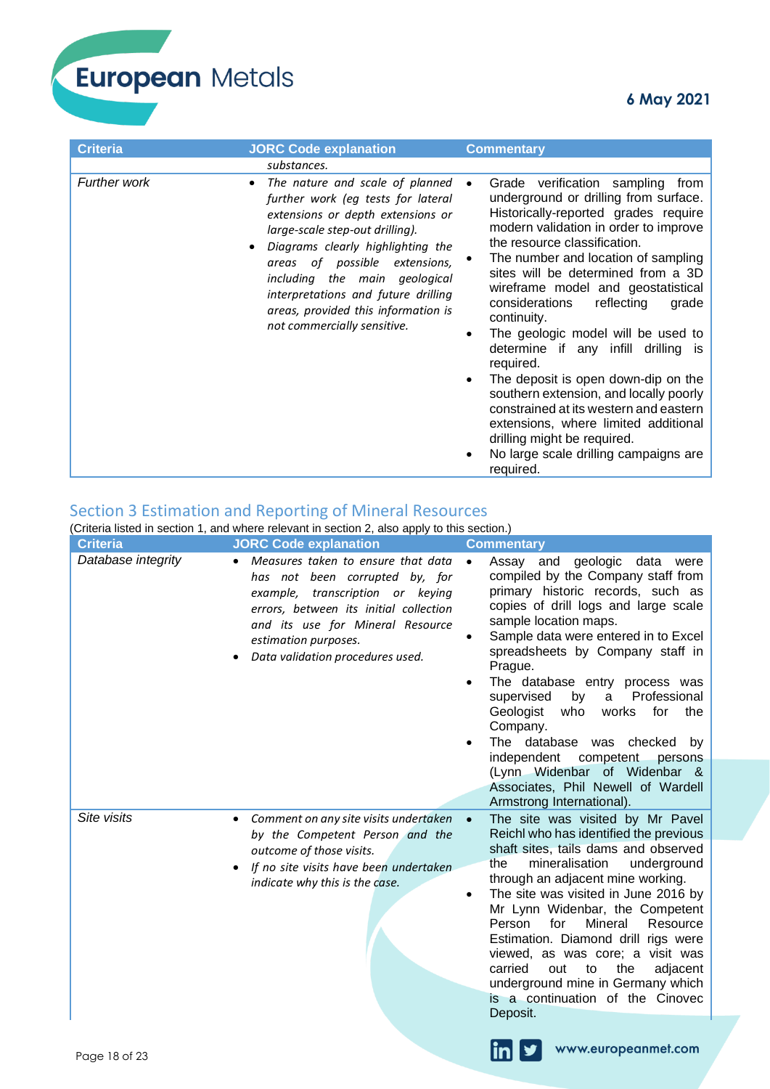| <b>Criteria</b>     | <b>JORC Code explanation</b>                                                                                                                                                                                                                                                                                                                                                   | <b>Commentary</b>                                                                                                                                                                                                                                                                                                                                                                                                                                                                                                                                                                                                                                                                                                                                         |
|---------------------|--------------------------------------------------------------------------------------------------------------------------------------------------------------------------------------------------------------------------------------------------------------------------------------------------------------------------------------------------------------------------------|-----------------------------------------------------------------------------------------------------------------------------------------------------------------------------------------------------------------------------------------------------------------------------------------------------------------------------------------------------------------------------------------------------------------------------------------------------------------------------------------------------------------------------------------------------------------------------------------------------------------------------------------------------------------------------------------------------------------------------------------------------------|
|                     | substances.                                                                                                                                                                                                                                                                                                                                                                    |                                                                                                                                                                                                                                                                                                                                                                                                                                                                                                                                                                                                                                                                                                                                                           |
| <b>Further work</b> | The nature and scale of planned<br>$\bullet$<br>further work (eg tests for lateral<br>extensions or depth extensions or<br>large-scale step-out drilling).<br>Diagrams clearly highlighting the<br>areas of possible extensions,<br>including the main geological<br>interpretations and future drilling<br>areas, provided this information is<br>not commercially sensitive. | Grade verification sampling<br>from<br>$\bullet$<br>underground or drilling from surface.<br>Historically-reported grades require<br>modern validation in order to improve<br>the resource classification.<br>The number and location of sampling<br>sites will be determined from a 3D<br>wireframe model and geostatistical<br>considerations<br>reflecting<br>grade<br>continuity.<br>The geologic model will be used to<br>٠<br>determine if any infill<br>drilling is<br>required.<br>The deposit is open down-dip on the<br>٠<br>southern extension, and locally poorly<br>constrained at its western and eastern<br>extensions, where limited additional<br>drilling might be required.<br>No large scale drilling campaigns are<br>٠<br>required. |

# Section 3 Estimation and Reporting of Mineral Resources

(Criteria listed in section 1, and where relevant in section 2, also apply to this section.)

| <b>Criteria</b>    | <b>JORC Code explanation</b>                                                                                                                                                                                                                       | <b>Commentary</b>                                                                                                                                                                                                                                                                                                                                                                                                                                                                                                                                                                      |
|--------------------|----------------------------------------------------------------------------------------------------------------------------------------------------------------------------------------------------------------------------------------------------|----------------------------------------------------------------------------------------------------------------------------------------------------------------------------------------------------------------------------------------------------------------------------------------------------------------------------------------------------------------------------------------------------------------------------------------------------------------------------------------------------------------------------------------------------------------------------------------|
| Database integrity | Measures taken to ensure that data<br>has not been corrupted by, for<br>example, transcription or keying<br>errors, between its initial collection<br>and its use for Mineral Resource<br>estimation purposes.<br>Data validation procedures used. | Assay and<br>geologic data<br>were<br>compiled by the Company staff from<br>primary historic records, such as<br>copies of drill logs and large scale<br>sample location maps.<br>Sample data were entered in to Excel<br>spreadsheets by Company staff in<br>Prague.<br>The database entry process was<br>Professional<br>supervised<br>by<br>a<br>Geologist<br>who<br>works<br>for<br>the<br>Company.<br>The database was<br>checked<br>by<br>competent<br>independent<br>persons<br>(Lynn Widenbar of Widenbar &<br>Associates, Phil Newell of Wardell<br>Armstrong International). |
| Site visits        | Comment on any site visits undertaken<br>by the Competent Person and the<br>outcome of those visits.<br>If no site visits have been undertaken<br>indicate why this is the case.                                                                   | The site was visited by Mr Pavel<br>Reichl who has identified the previous<br>shaft sites, tails dams and observed<br>mineralisation<br>underground<br>the<br>through an adjacent mine working.<br>The site was visited in June 2016 by<br>Mr Lynn Widenbar, the Competent<br>Person<br>for<br>Mineral<br>Resource<br>Estimation. Diamond drill rigs were<br>viewed, as was core; a visit was<br>carried<br>out<br>to<br>the<br>adjacent<br>underground mine in Germany which<br>is a continuation of the Cinovec<br>Deposit.                                                          |
| Page 18 of 23      |                                                                                                                                                                                                                                                    | www.europeanmet.com<br>$\mathsf{I}$                                                                                                                                                                                                                                                                                                                                                                                                                                                                                                                                                    |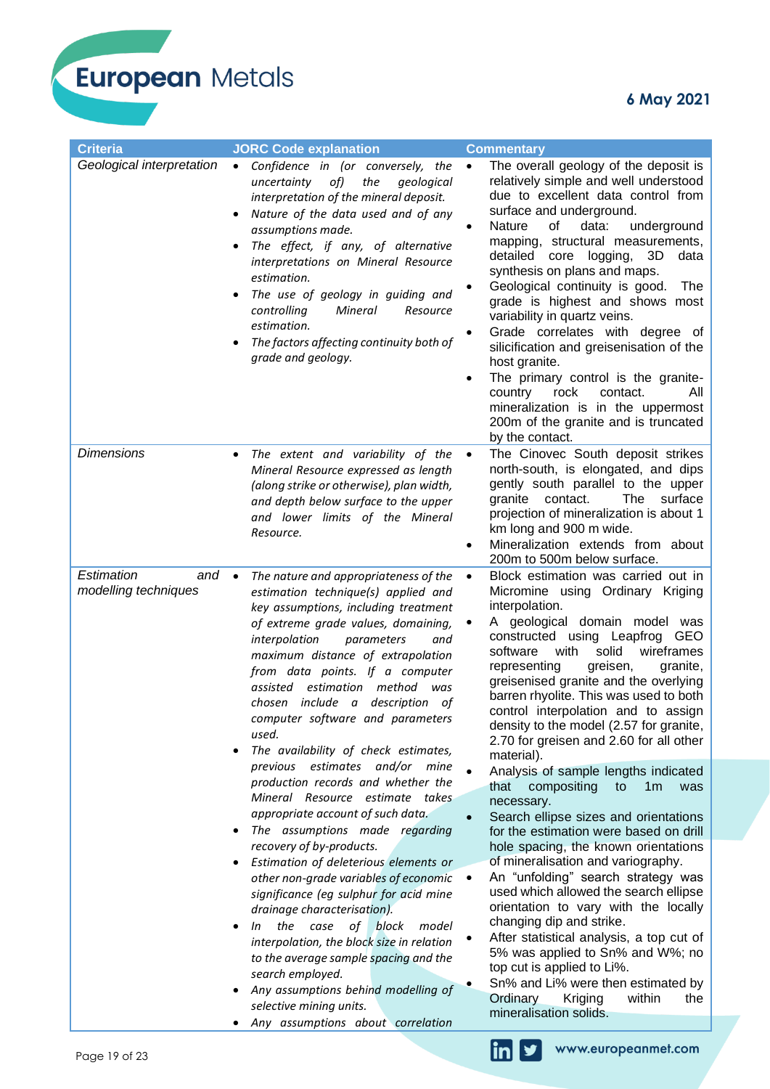**6 May 2021**

| Geological interpretation<br>Confidence in (or conversely, the<br>The overall geology of the deposit is<br>$\bullet$<br>$\bullet$<br>relatively simple and well understood<br>of)<br>the<br>uncertainty<br>geological<br>due to excellent data control from<br>interpretation of the mineral deposit.<br>surface and underground.<br>Nature of the data used and of any<br>of<br><b>Nature</b><br>data:<br>underground<br>assumptions made.<br>mapping, structural measurements,<br>The effect, if any, of alternative<br>3D<br>detailed<br>core logging,<br>data<br>interpretations on Mineral Resource<br>synthesis on plans and maps.<br>estimation.<br>Geological continuity is good.<br>The<br>The use of geology in guiding and<br>grade is highest and shows most<br>controlling<br>Mineral<br>Resource<br>variability in quartz veins.<br>estimation.<br>Grade correlates with degree of<br>The factors affecting continuity both of<br>silicification and greisenisation of the<br>grade and geology.<br>host granite.<br>The primary control is the granite-<br>country<br>rock<br>contact.<br>All<br>mineralization is in the uppermost<br>200m of the granite and is truncated<br>by the contact.<br><b>Dimensions</b><br>The extent and variability of the<br>The Cinovec South deposit strikes<br>$\bullet$<br>north-south, is elongated, and dips<br>Mineral Resource expressed as length<br>gently south parallel to the upper<br>(along strike or otherwise), plan width,<br>surface<br>granite contact.<br>The<br>and depth below surface to the upper<br>projection of mineralization is about 1<br>and lower limits of the Mineral<br>km long and 900 m wide.<br>Resource.<br>Mineralization extends from about<br>200m to 500m below surface.<br>Estimation<br>Block estimation was carried out in<br>and<br>The nature and appropriateness of the<br>$\bullet$<br>$\bullet$<br>modelling techniques<br>Micromine using Ordinary Kriging<br>estimation technique(s) applied and<br>interpolation.<br>key assumptions, including treatment<br>A geological domain model was<br>of extreme grade values, domaining,<br>constructed using Leapfrog GEO<br>interpolation<br>parameters<br>and<br>with<br>solid<br>wireframes<br>software<br>maximum distance of extrapolation<br>greisen,<br>granite,<br>representing<br>from data points. If a computer<br>greisenised granite and the overlying<br>assisted estimation method<br>was<br>barren rhyolite. This was used to both<br>chosen include a description of<br>control interpolation and to assign<br>computer software and parameters<br>density to the model (2.57 for granite,<br>used.<br>2.70 for greisen and 2.60 for all other<br>The availability of check estimates,<br>material).<br>previous estimates and/or mine<br>Analysis of sample lengths indicated<br>production records and whether the<br>that<br>compositing<br>to<br>1 <sub>m</sub><br>was<br>Mineral Resource estimate takes<br>necessary.<br>appropriate account of such data.<br>Search ellipse sizes and orientations<br>The assumptions made regarding<br>for the estimation were based on drill<br>recovery of by-products.<br>hole spacing, the known orientations<br>of mineralisation and variography.<br>Estimation of deleterious elements or<br>An "unfolding" search strategy was<br>other non-grade variables of economic<br>used which allowed the search ellipse<br>significance (eg sulphur for acid mine<br>orientation to vary with the locally<br>drainage characterisation).<br>changing dip and strike.<br>the case of block<br>model<br>In<br>After statistical analysis, a top cut of<br>interpolation, the block size in relation<br>5% was applied to Sn% and W%; no<br>to the average sample spacing and the<br>top cut is applied to Li%.<br>search employed.<br>Sn% and Li% were then estimated by<br>Any assumptions behind modelling of<br>Ordinary<br>Kriging<br>within<br>the<br>selective mining units.<br>mineralisation solids.<br>Any assumptions about correlation | <b>Criteria</b> | <b>JORC Code explanation</b> | <b>Commentary</b> |
|----------------------------------------------------------------------------------------------------------------------------------------------------------------------------------------------------------------------------------------------------------------------------------------------------------------------------------------------------------------------------------------------------------------------------------------------------------------------------------------------------------------------------------------------------------------------------------------------------------------------------------------------------------------------------------------------------------------------------------------------------------------------------------------------------------------------------------------------------------------------------------------------------------------------------------------------------------------------------------------------------------------------------------------------------------------------------------------------------------------------------------------------------------------------------------------------------------------------------------------------------------------------------------------------------------------------------------------------------------------------------------------------------------------------------------------------------------------------------------------------------------------------------------------------------------------------------------------------------------------------------------------------------------------------------------------------------------------------------------------------------------------------------------------------------------------------------------------------------------------------------------------------------------------------------------------------------------------------------------------------------------------------------------------------------------------------------------------------------------------------------------------------------------------------------------------------------------------------------------------------------------------------------------------------------------------------------------------------------------------------------------------------------------------------------------------------------------------------------------------------------------------------------------------------------------------------------------------------------------------------------------------------------------------------------------------------------------------------------------------------------------------------------------------------------------------------------------------------------------------------------------------------------------------------------------------------------------------------------------------------------------------------------------------------------------------------------------------------------------------------------------------------------------------------------------------------------------------------------------------------------------------------------------------------------------------------------------------------------------------------------------------------------------------------------------------------------------------------------------------------------------------------------------------------------------------------------------------------------------------------------------------------------------------------------------------------------------------------------------------------------------------------------------------------------------------------------------------------------------------------------------------------------------------------------------------------------------------------------------------------------------------------------------------------------------|-----------------|------------------------------|-------------------|
|                                                                                                                                                                                                                                                                                                                                                                                                                                                                                                                                                                                                                                                                                                                                                                                                                                                                                                                                                                                                                                                                                                                                                                                                                                                                                                                                                                                                                                                                                                                                                                                                                                                                                                                                                                                                                                                                                                                                                                                                                                                                                                                                                                                                                                                                                                                                                                                                                                                                                                                                                                                                                                                                                                                                                                                                                                                                                                                                                                                                                                                                                                                                                                                                                                                                                                                                                                                                                                                                                                                                                                                                                                                                                                                                                                                                                                                                                                                                                                                                                                                          |                 |                              |                   |
|                                                                                                                                                                                                                                                                                                                                                                                                                                                                                                                                                                                                                                                                                                                                                                                                                                                                                                                                                                                                                                                                                                                                                                                                                                                                                                                                                                                                                                                                                                                                                                                                                                                                                                                                                                                                                                                                                                                                                                                                                                                                                                                                                                                                                                                                                                                                                                                                                                                                                                                                                                                                                                                                                                                                                                                                                                                                                                                                                                                                                                                                                                                                                                                                                                                                                                                                                                                                                                                                                                                                                                                                                                                                                                                                                                                                                                                                                                                                                                                                                                                          |                 |                              |                   |
|                                                                                                                                                                                                                                                                                                                                                                                                                                                                                                                                                                                                                                                                                                                                                                                                                                                                                                                                                                                                                                                                                                                                                                                                                                                                                                                                                                                                                                                                                                                                                                                                                                                                                                                                                                                                                                                                                                                                                                                                                                                                                                                                                                                                                                                                                                                                                                                                                                                                                                                                                                                                                                                                                                                                                                                                                                                                                                                                                                                                                                                                                                                                                                                                                                                                                                                                                                                                                                                                                                                                                                                                                                                                                                                                                                                                                                                                                                                                                                                                                                                          |                 |                              |                   |
|                                                                                                                                                                                                                                                                                                                                                                                                                                                                                                                                                                                                                                                                                                                                                                                                                                                                                                                                                                                                                                                                                                                                                                                                                                                                                                                                                                                                                                                                                                                                                                                                                                                                                                                                                                                                                                                                                                                                                                                                                                                                                                                                                                                                                                                                                                                                                                                                                                                                                                                                                                                                                                                                                                                                                                                                                                                                                                                                                                                                                                                                                                                                                                                                                                                                                                                                                                                                                                                                                                                                                                                                                                                                                                                                                                                                                                                                                                                                                                                                                                                          |                 |                              |                   |



 $\ln |y|$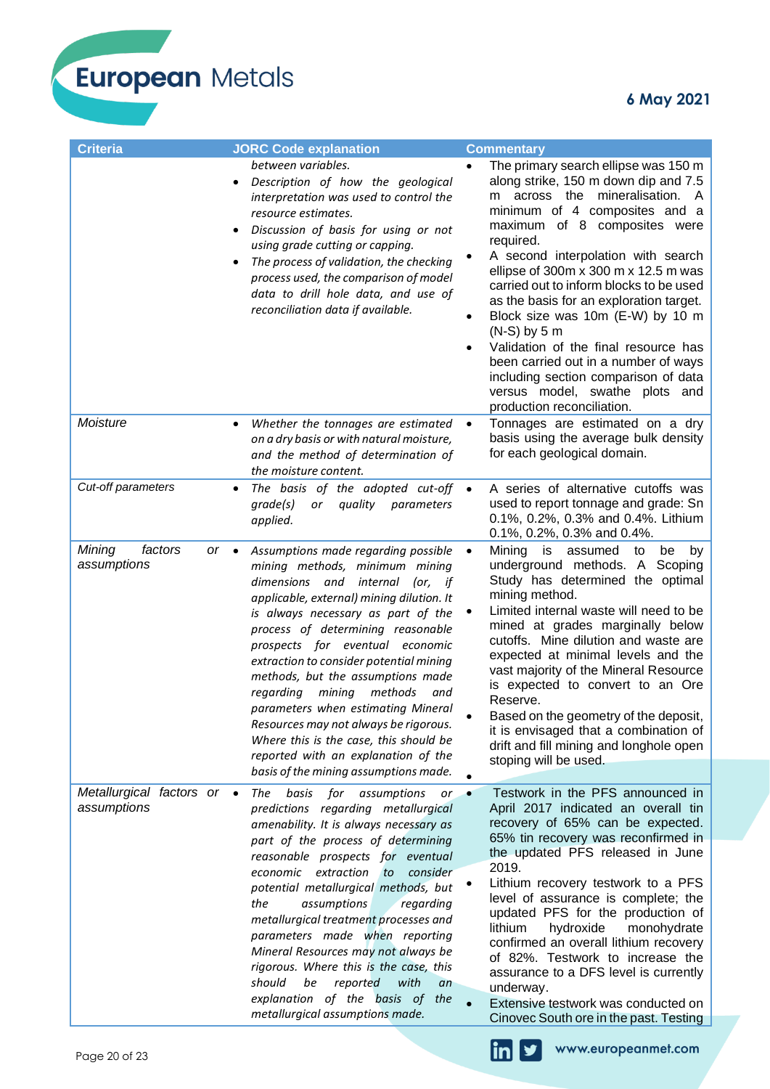European Metals

| <b>Criteria</b>                                  | <b>JORC Code explanation</b>                                                                                                                                                                                                                                                                                                                                                                                                                                                                                                                                                                          | <b>Commentary</b>                                                                                                                                                                                                                                                                                                                                                                                                                                                                                                                                                                                                                          |
|--------------------------------------------------|-------------------------------------------------------------------------------------------------------------------------------------------------------------------------------------------------------------------------------------------------------------------------------------------------------------------------------------------------------------------------------------------------------------------------------------------------------------------------------------------------------------------------------------------------------------------------------------------------------|--------------------------------------------------------------------------------------------------------------------------------------------------------------------------------------------------------------------------------------------------------------------------------------------------------------------------------------------------------------------------------------------------------------------------------------------------------------------------------------------------------------------------------------------------------------------------------------------------------------------------------------------|
|                                                  | between variables.<br>Description of how the geological<br>interpretation was used to control the<br>resource estimates.<br>Discussion of basis for using or not<br>using grade cutting or capping.<br>The process of validation, the checking<br>process used, the comparison of model<br>data to drill hole data, and use of<br>reconciliation data if available.                                                                                                                                                                                                                                   | The primary search ellipse was 150 m<br>along strike, 150 m down dip and 7.5<br>across the mineralisation.<br>- A<br>m<br>minimum of 4 composites and a<br>maximum of 8 composites were<br>required.<br>A second interpolation with search<br>ellipse of 300 $m \times 300$ m $\times$ 12.5 m was<br>carried out to inform blocks to be used<br>as the basis for an exploration target.<br>Block size was 10m (E-W) by 10 m<br>٠<br>$(N-S)$ by 5 m<br>Validation of the final resource has<br>been carried out in a number of ways<br>including section comparison of data<br>versus model, swathe plots and<br>production reconciliation. |
| Moisture                                         | Whether the tonnages are estimated<br>$\bullet$<br>on a dry basis or with natural moisture,<br>and the method of determination of<br>the moisture content.                                                                                                                                                                                                                                                                                                                                                                                                                                            | Tonnages are estimated on a dry<br>basis using the average bulk density<br>for each geological domain.                                                                                                                                                                                                                                                                                                                                                                                                                                                                                                                                     |
| Cut-off parameters                               | The basis of the adopted cut-off<br>٠<br>grade(s)<br>quality<br>parameters<br>or<br>applied.                                                                                                                                                                                                                                                                                                                                                                                                                                                                                                          | A series of alternative cutoffs was<br>used to report tonnage and grade: Sn<br>0.1%, 0.2%, 0.3% and 0.4%. Lithium<br>0.1%, 0.2%, 0.3% and 0.4%.                                                                                                                                                                                                                                                                                                                                                                                                                                                                                            |
| Mining<br>factors<br>$or \bullet$<br>assumptions | Assumptions made regarding possible<br>mining methods, minimum mining<br>dimensions and internal<br>(or, if<br>applicable, external) mining dilution. It<br>is always necessary as part of the<br>process of determining reasonable<br>prospects for eventual economic<br>extraction to consider potential mining<br>methods, but the assumptions made<br>regarding mining<br>methods<br>and<br>parameters when estimating Mineral<br>Resources may not always be rigorous.<br>Where this is the case, this should be<br>reported with an explanation of the<br>basis of the mining assumptions made. | Mining<br>is<br>assumed<br>to<br>be<br>$\bullet$<br>by<br>underground methods. A Scoping<br>Study has determined the optimal<br>mining method.<br>Limited internal waste will need to be<br>mined at grades marginally below<br>cutoffs. Mine dilution and waste are<br>expected at minimal levels and the<br>vast majority of the Mineral Resource<br>is expected to convert to an Ore<br>Reserve.<br>Based on the geometry of the deposit,<br>it is envisaged that a combination of<br>drift and fill mining and longhole open<br>stoping will be used.                                                                                  |
| Metallurgical factors or •<br>assumptions        | basis<br>for<br>The<br>assumptions<br>or<br>predictions regarding metallurgical<br>amenability. It is always necessary as<br>part of the process of determining<br>reasonable prospects for eventual<br>economic extraction<br>to<br>consider<br>potential metallurgical methods, but<br>the<br>assumptions<br>regarding<br>metallurgical treatment processes and<br>parameters made when reporting<br>Mineral Resources may not always be<br>rigorous. Where this is the case, this<br>should<br>reported<br>with<br>be<br>an<br>explanation of the basis of the<br>metallurgical assumptions made.  | Testwork in the PFS announced in<br>April 2017 indicated an overall tin<br>recovery of 65% can be expected.<br>65% tin recovery was reconfirmed in<br>the updated PFS released in June<br>2019.<br>Lithium recovery testwork to a PFS<br>level of assurance is complete; the<br>updated PFS for the production of<br>lithium<br>hydroxide<br>monohydrate<br>confirmed an overall lithium recovery<br>of 82%. Testwork to increase the<br>assurance to a DFS level is currently<br>underway.<br>Extensive testwork was conducted on<br>Cinovec South ore in the past. Testing                                                               |



 $\ln$   $\blacktriangleright$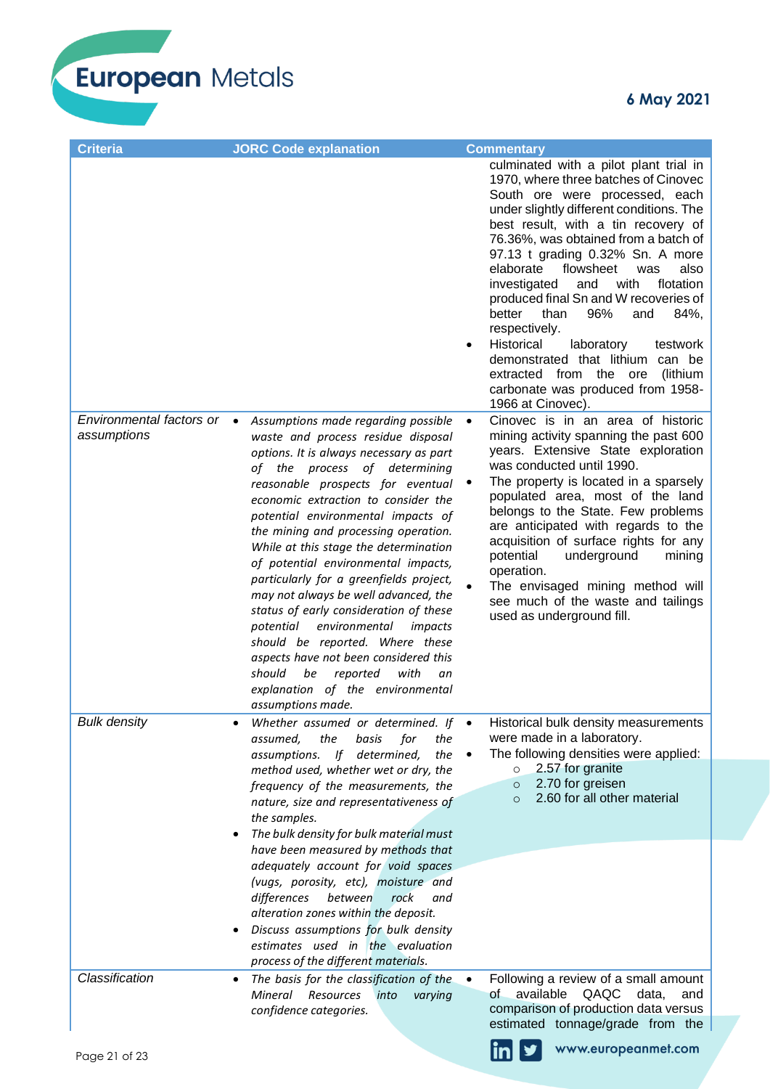

| <b>Criteria</b>                           | <b>JORC Code explanation</b>                                                                                                                                                                                                                                                                                                                                                                                                                                                                                                                                                                                                                                            | <b>Commentary</b>                                                                                                                                                                                                                                                                                                                                                                                                                                                                                                                                                                                                                                                                                                                                                                                |
|-------------------------------------------|-------------------------------------------------------------------------------------------------------------------------------------------------------------------------------------------------------------------------------------------------------------------------------------------------------------------------------------------------------------------------------------------------------------------------------------------------------------------------------------------------------------------------------------------------------------------------------------------------------------------------------------------------------------------------|--------------------------------------------------------------------------------------------------------------------------------------------------------------------------------------------------------------------------------------------------------------------------------------------------------------------------------------------------------------------------------------------------------------------------------------------------------------------------------------------------------------------------------------------------------------------------------------------------------------------------------------------------------------------------------------------------------------------------------------------------------------------------------------------------|
| Environmental factors or •<br>assumptions | Assumptions made regarding possible<br>waste and process residue disposal                                                                                                                                                                                                                                                                                                                                                                                                                                                                                                                                                                                               | culminated with a pilot plant trial in<br>1970, where three batches of Cinovec<br>South ore were processed, each<br>under slightly different conditions. The<br>best result, with a tin recovery of<br>76.36%, was obtained from a batch of<br>97.13 t grading 0.32% Sn. A more<br>elaborate<br>flowsheet<br>was<br>also<br>investigated<br>with<br>flotation<br>and<br>produced final Sn and W recoveries of<br>96%<br>better<br>than<br>84%,<br>and<br>respectively.<br>Historical<br>laboratory<br>testwork<br>$\bullet$<br>demonstrated that lithium can be<br>extracted from the ore<br>(lithium<br>carbonate was produced from 1958-<br>1966 at Cinovec).<br>Cinovec is in an area of historic<br>$\bullet$<br>mining activity spanning the past 600<br>years. Extensive State exploration |
|                                           | options. It is always necessary as part<br>of the process of determining<br>reasonable prospects for eventual<br>economic extraction to consider the<br>potential environmental impacts of<br>the mining and processing operation.<br>While at this stage the determination<br>of potential environmental impacts,<br>particularly for a greenfields project,<br>may not always be well advanced, the<br>status of early consideration of these<br>environmental<br>potential<br>impacts<br>should be reported. Where these<br>aspects have not been considered this<br>should<br>reported<br>with<br>be<br>an<br>explanation of the environmental<br>assumptions made. | was conducted until 1990.<br>The property is located in a sparsely<br>populated area, most of the land<br>belongs to the State. Few problems<br>are anticipated with regards to the<br>acquisition of surface rights for any<br>potential<br>underground<br>mining<br>operation.<br>The envisaged mining method will<br>see much of the waste and tailings<br>used as underground fill.                                                                                                                                                                                                                                                                                                                                                                                                          |
| <b>Bulk density</b>                       | Whether assumed or determined. If<br>assumed, the<br>basis<br>for<br>the<br>assumptions. If determined,<br>the<br>method used, whether wet or dry, the<br>frequency of the measurements, the<br>nature, size and representativeness of<br>the samples.                                                                                                                                                                                                                                                                                                                                                                                                                  | Historical bulk density measurements<br>were made in a laboratory.<br>The following densities were applied:<br>2.57 for granite<br>$\circ$<br>2.70 for greisen<br>$\circ$<br>2.60 for all other material<br>$\circ$                                                                                                                                                                                                                                                                                                                                                                                                                                                                                                                                                                              |
|                                           | The bulk density for bulk material must<br>have been measured by methods that<br>adequately account for void spaces<br>(vugs, porosity, etc), moisture and<br>differences<br>between<br>rock<br>and<br>alteration zones within the deposit.<br>Discuss assumptions for bulk density<br>estimates used in the evaluation<br>process of the different materials.                                                                                                                                                                                                                                                                                                          |                                                                                                                                                                                                                                                                                                                                                                                                                                                                                                                                                                                                                                                                                                                                                                                                  |
| Classification                            | The basis for the classification of the<br>٠<br>Mineral<br>Resources<br>into<br>varying<br>confidence categories.                                                                                                                                                                                                                                                                                                                                                                                                                                                                                                                                                       | Following a review of a small amount<br>$\bullet$<br>available<br>QAQC<br>data,<br>of .<br>and<br>comparison of production data versus<br>estimated tonnage/grade from the                                                                                                                                                                                                                                                                                                                                                                                                                                                                                                                                                                                                                       |
| Page 21 of 23                             |                                                                                                                                                                                                                                                                                                                                                                                                                                                                                                                                                                                                                                                                         | www.europeanmet.com                                                                                                                                                                                                                                                                                                                                                                                                                                                                                                                                                                                                                                                                                                                                                                              |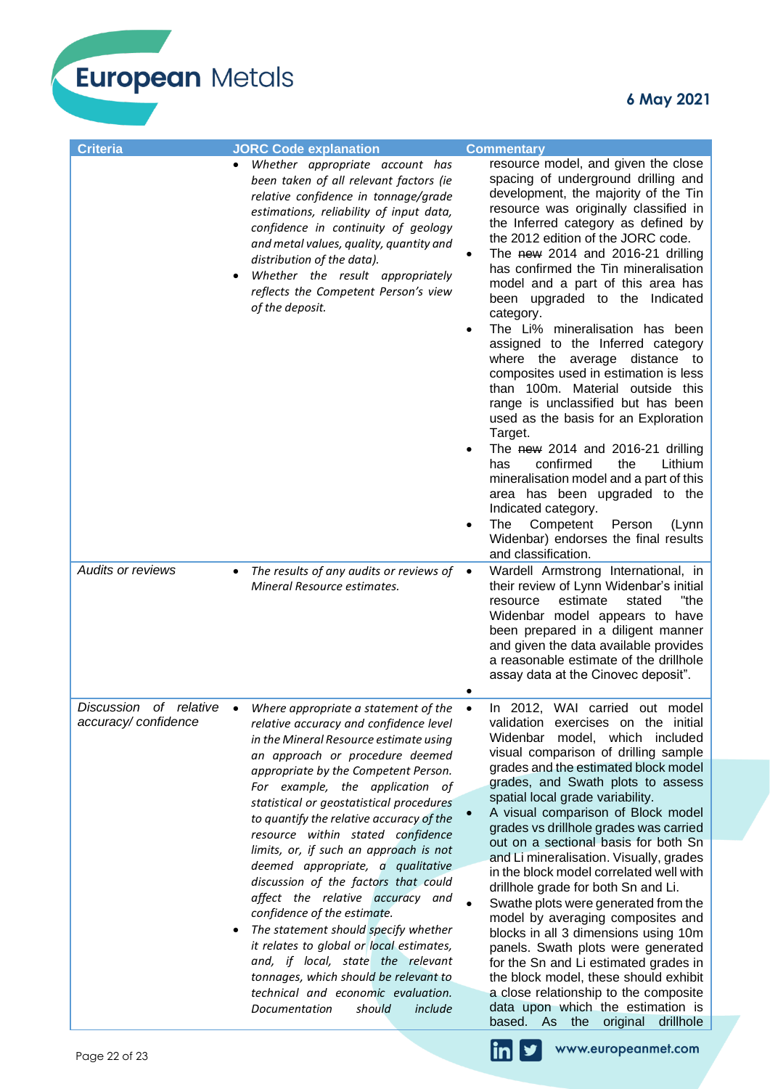European Metals

| <b>Criteria</b>                                         | <b>JORC Code explanation</b>                                                                                                                                                                                                                                                                                                                                                                                                                                                                                                                                                                                                                                                                                                                                                                                                  | <b>Commentary</b>                                                                                                                                                                                                                                                                                                                                                                                                                                                                                                                                                                                                                                                                                                                                                                                                                                                                                                                                                            |
|---------------------------------------------------------|-------------------------------------------------------------------------------------------------------------------------------------------------------------------------------------------------------------------------------------------------------------------------------------------------------------------------------------------------------------------------------------------------------------------------------------------------------------------------------------------------------------------------------------------------------------------------------------------------------------------------------------------------------------------------------------------------------------------------------------------------------------------------------------------------------------------------------|------------------------------------------------------------------------------------------------------------------------------------------------------------------------------------------------------------------------------------------------------------------------------------------------------------------------------------------------------------------------------------------------------------------------------------------------------------------------------------------------------------------------------------------------------------------------------------------------------------------------------------------------------------------------------------------------------------------------------------------------------------------------------------------------------------------------------------------------------------------------------------------------------------------------------------------------------------------------------|
|                                                         | Whether appropriate account has<br>$\bullet$<br>been taken of all relevant factors (ie<br>relative confidence in tonnage/grade<br>estimations, reliability of input data,<br>confidence in continuity of geology<br>and metal values, quality, quantity and<br>distribution of the data).<br>Whether the result appropriately<br>reflects the Competent Person's view<br>of the deposit.                                                                                                                                                                                                                                                                                                                                                                                                                                      | resource model, and given the close<br>spacing of underground drilling and<br>development, the majority of the Tin<br>resource was originally classified in<br>the Inferred category as defined by<br>the 2012 edition of the JORC code.<br>The new 2014 and 2016-21 drilling<br>has confirmed the Tin mineralisation<br>model and a part of this area has<br>been upgraded to the Indicated<br>category.<br>The Li% mineralisation has been<br>assigned to the Inferred category<br>where the average distance to<br>composites used in estimation is less<br>than 100m. Material outside this<br>range is unclassified but has been<br>used as the basis for an Exploration<br>Target.<br>The new 2014 and 2016-21 drilling<br>confirmed<br>the<br>Lithium<br>has<br>mineralisation model and a part of this<br>area has been upgraded to the<br>Indicated category.<br>The<br>Competent<br>Person<br>(Lynn<br>Widenbar) endorses the final results<br>and classification. |
| <b>Audits or reviews</b>                                | The results of any audits or reviews of $\bullet$<br>٠<br>Mineral Resource estimates.                                                                                                                                                                                                                                                                                                                                                                                                                                                                                                                                                                                                                                                                                                                                         | Wardell Armstrong International, in<br>their review of Lynn Widenbar's initial<br>estimate<br>"the<br>stated<br>resource<br>Widenbar model appears to have<br>been prepared in a diligent manner<br>and given the data available provides<br>a reasonable estimate of the drillhole<br>assay data at the Cinovec deposit".                                                                                                                                                                                                                                                                                                                                                                                                                                                                                                                                                                                                                                                   |
| <b>Discussion</b><br>of relative<br>accuracy/confidence | Where appropriate a statement of the<br>$\bullet$<br>relative accuracy and confidence level<br>in the Mineral Resource estimate using<br>an approach or procedure deemed<br>appropriate by the Competent Person.<br>For example, the application of<br>statistical or geostatistical procedures<br>to quantify the relative accuracy of the<br>resource within stated confidence<br>limits, or, if such an approach is not<br>deemed appropriate, a qualitative<br>discussion of the factors that could<br>affect the relative accuracy and<br>confidence of the estimate.<br>The statement should specify whether<br>٠<br>it relates to global or local estimates,<br>and, if local, state the relevant<br>tonnages, which should be relevant to<br>technical and economic evaluation.<br>should<br>include<br>Documentation | In 2012, WAI carried out model<br>$\bullet$<br>validation exercises on the initial<br>model, which included<br>Widenbar<br>visual comparison of drilling sample<br>grades and the estimated block model<br>grades, and Swath plots to assess<br>spatial local grade variability.<br>A visual comparison of Block model<br>grades vs drillhole grades was carried<br>out on a sectional basis for both Sn<br>and Li mineralisation. Visually, grades<br>in the block model correlated well with<br>drillhole grade for both Sn and Li.<br>Swathe plots were generated from the<br>model by averaging composites and<br>blocks in all 3 dimensions using 10m<br>panels. Swath plots were generated<br>for the Sn and Li estimated grades in<br>the block model, these should exhibit<br>a close relationship to the composite<br>data upon which the estimation is<br>based. As the original drillhole                                                                         |
| Page 22 of 23                                           |                                                                                                                                                                                                                                                                                                                                                                                                                                                                                                                                                                                                                                                                                                                                                                                                                               | www.europeanmet.com<br>ΙN                                                                                                                                                                                                                                                                                                                                                                                                                                                                                                                                                                                                                                                                                                                                                                                                                                                                                                                                                    |